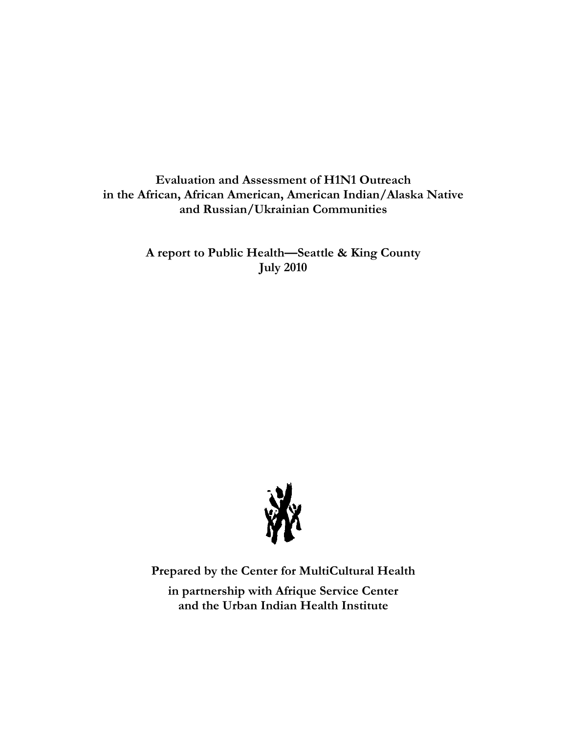**Evaluation and Assessment of H1N1 Outreach in the African, African American, American Indian/Alaska Native and Russian/Ukrainian Communities** 

> **A report to Public Health—Seattle & King County July 2010**



**Prepared by the Center for MultiCultural Health** 

**in partnership with Afrique Service Center and the Urban Indian Health Institute**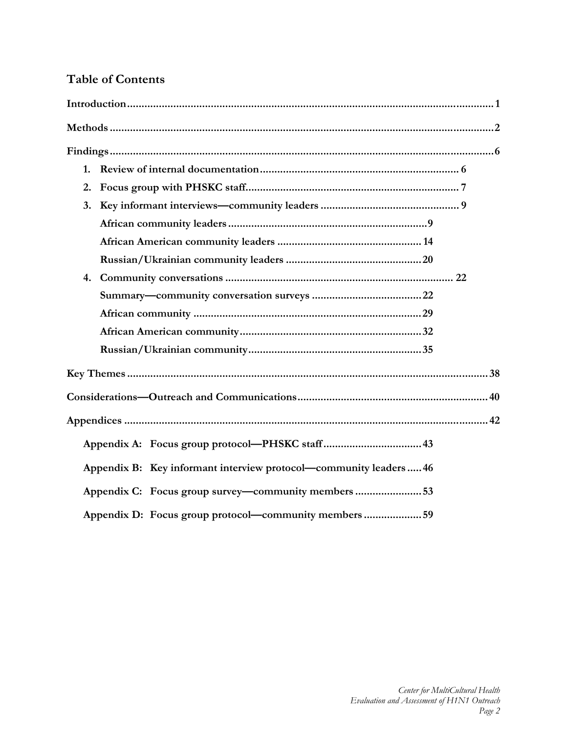# **Table of Contents**

| 1.                                                                 |
|--------------------------------------------------------------------|
| 2.                                                                 |
| 3.                                                                 |
|                                                                    |
|                                                                    |
|                                                                    |
| 4.                                                                 |
|                                                                    |
|                                                                    |
|                                                                    |
|                                                                    |
|                                                                    |
|                                                                    |
|                                                                    |
|                                                                    |
| Appendix B: Key informant interview protocol—community leaders  46 |
| Appendix C: Focus group survey—community members 53                |
| Appendix D: Focus group protocol—community members 59              |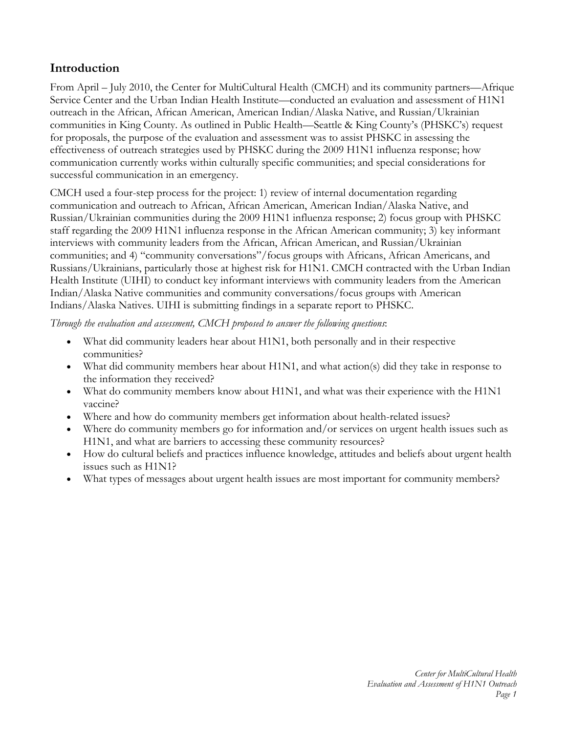# **Introduction**

From April – July 2010, the Center for MultiCultural Health (CMCH) and its community partners—Afrique Service Center and the Urban Indian Health Institute—conducted an evaluation and assessment of H1N1 outreach in the African, African American, American Indian/Alaska Native, and Russian/Ukrainian communities in King County. As outlined in Public Health—Seattle & King County's (PHSKC's) request for proposals, the purpose of the evaluation and assessment was to assist PHSKC in assessing the effectiveness of outreach strategies used by PHSKC during the 2009 H1N1 influenza response; how communication currently works within culturally specific communities; and special considerations for successful communication in an emergency.

CMCH used a four-step process for the project: 1) review of internal documentation regarding communication and outreach to African, African American, American Indian/Alaska Native, and Russian/Ukrainian communities during the 2009 H1N1 influenza response; 2) focus group with PHSKC staff regarding the 2009 H1N1 influenza response in the African American community; 3) key informant interviews with community leaders from the African, African American, and Russian/Ukrainian communities; and 4) "community conversations"/focus groups with Africans, African Americans, and Russians/Ukrainians, particularly those at highest risk for H1N1. CMCH contracted with the Urban Indian Health Institute (UIHI) to conduct key informant interviews with community leaders from the American Indian/Alaska Native communities and community conversations/focus groups with American Indians/Alaska Natives. UIHI is submitting findings in a separate report to PHSKC.

*Through the evaluation and assessment, CMCH proposed to answer the following questions*:

- What did community leaders hear about H1N1, both personally and in their respective communities?
- What did community members hear about H1N1, and what action(s) did they take in response to the information they received?
- What do community members know about H1N1, and what was their experience with the H1N1 vaccine?
- Where and how do community members get information about health-related issues?
- Where do community members go for information and/or services on urgent health issues such as H1N1, and what are barriers to accessing these community resources?
- How do cultural beliefs and practices influence knowledge, attitudes and beliefs about urgent health issues such as H1N1?
- What types of messages about urgent health issues are most important for community members?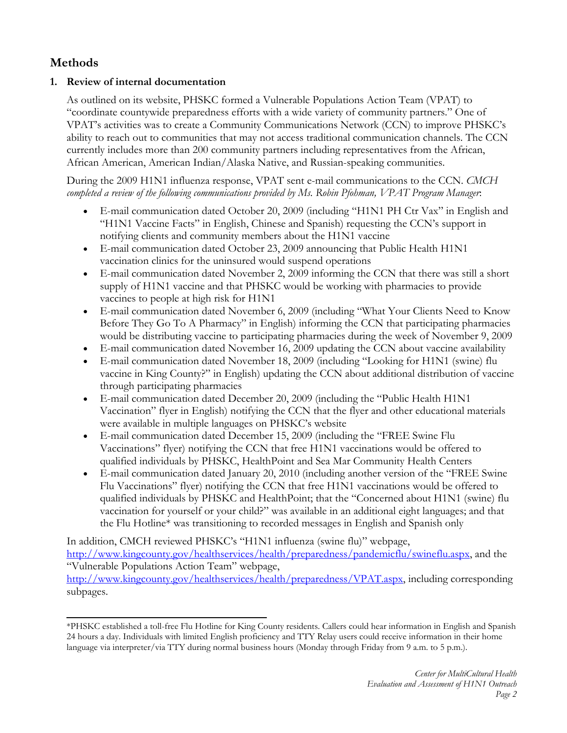# **Methods**

# **1. Review of internal documentation**

As outlined on its website, PHSKC formed a Vulnerable Populations Action Team (VPAT) to "coordinate countywide preparedness efforts with a wide variety of community partners." One of VPAT's activities was to create a Community Communications Network (CCN) to improve PHSKC's ability to reach out to communities that may not access traditional communication channels. The CCN currently includes more than 200 community partners including representatives from the African, African American, American Indian/Alaska Native, and Russian-speaking communities.

During the 2009 H1N1 influenza response, VPAT sent e-mail communications to the CCN. *CMCH completed a review of the following communications provided by Ms. Robin Pfohman, VPAT Program Manager*:

- E-mail communication dated October 20, 2009 (including "H1N1 PH Ctr Vax" in English and "H1N1 Vaccine Facts" in English, Chinese and Spanish) requesting the CCN's support in notifying clients and community members about the H1N1 vaccine
- E-mail communication dated October 23, 2009 announcing that Public Health H1N1 vaccination clinics for the uninsured would suspend operations
- E-mail communication dated November 2, 2009 informing the CCN that there was still a short supply of H1N1 vaccine and that PHSKC would be working with pharmacies to provide vaccines to people at high risk for H1N1
- E-mail communication dated November 6, 2009 (including "What Your Clients Need to Know Before They Go To A Pharmacy" in English) informing the CCN that participating pharmacies would be distributing vaccine to participating pharmacies during the week of November 9, 2009
- E-mail communication dated November 16, 2009 updating the CCN about vaccine availability
- E-mail communication dated November 18, 2009 (including "Looking for H1N1 (swine) flu vaccine in King County?" in English) updating the CCN about additional distribution of vaccine through participating pharmacies
- E-mail communication dated December 20, 2009 (including the "Public Health H1N1 Vaccination" flyer in English) notifying the CCN that the flyer and other educational materials were available in multiple languages on PHSKC's website
- E-mail communication dated December 15, 2009 (including the "FREE Swine Flu Vaccinations" flyer) notifying the CCN that free H1N1 vaccinations would be offered to qualified individuals by PHSKC, HealthPoint and Sea Mar Community Health Centers
- E-mail communication dated January 20, 2010 (including another version of the "FREE Swine Flu Vaccinations" flyer) notifying the CCN that free H1N1 vaccinations would be offered to qualified individuals by PHSKC and HealthPoint; that the "Concerned about H1N1 (swine) flu vaccination for yourself or your child?" was available in an additional eight languages; and that the Flu Hotline\* was transitioning to recorded messages in English and Spanish only

In addition, CMCH reviewed PHSKC's "H1N1 influenza (swine flu)" webpage, http://www.kingcounty.gov/healthservices/health/preparedness/pandemicflu/swineflu.aspx, and the "Vulnerable Populations Action Team" webpage, http://www.kingcounty.gov/healthservices/health/preparedness/VPAT.aspx, including corresponding subpages.

<sup>\*</sup>PHSKC established a toll-free Flu Hotline for King County residents. Callers could hear information in English and Spanish 24 hours a day. Individuals with limited English proficiency and TTY Relay users could receive information in their home language via interpreter/via TTY during normal business hours (Monday through Friday from 9 a.m. to 5 p.m.).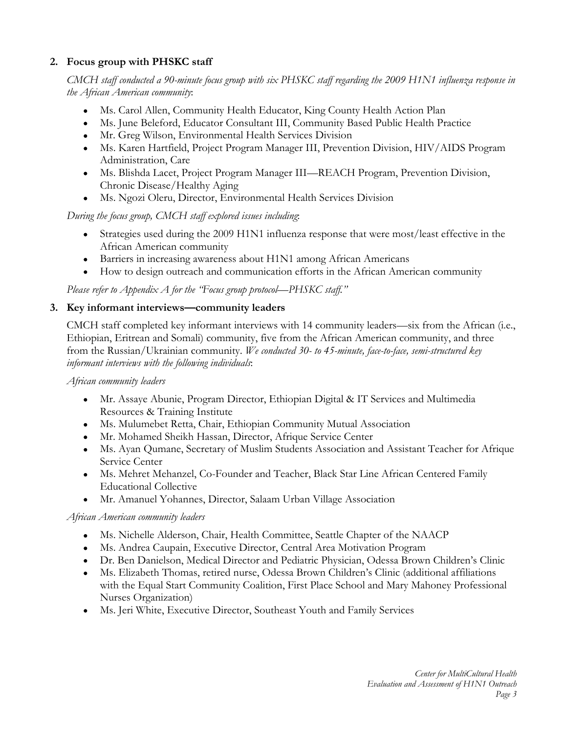# **2. Focus group with PHSKC staff**

*CMCH staff conducted a 90-minute focus group with six PHSKC staff regarding the 2009 H1N1 influenza response in the African American community*:

- Ms. Carol Allen, Community Health Educator, King County Health Action Plan
- Ms. June Beleford, Educator Consultant III, Community Based Public Health Practice
- Mr. Greg Wilson, Environmental Health Services Division
- Ms. Karen Hartfield, Project Program Manager III, Prevention Division, HIV/AIDS Program Administration, Care
- Ms. Blishda Lacet, Project Program Manager III—REACH Program, Prevention Division, Chronic Disease/Healthy Aging
- Ms. Ngozi Oleru, Director, Environmental Health Services Division

*During the focus group, CMCH staff explored issues including*:

- Strategies used during the 2009 H1N1 influenza response that were most/least effective in the African American community
- Barriers in increasing awareness about H1N1 among African Americans
- How to design outreach and communication efforts in the African American community

*Please refer to Appendix A for the "Focus group protocol—PHSKC staff."*

# **3. Key informant interviews—community leaders**

CMCH staff completed key informant interviews with 14 community leaders—six from the African (i.e., Ethiopian, Eritrean and Somali) community, five from the African American community, and three from the Russian/Ukrainian community. *We conducted 30- to 45-minute, face-to-face, semi-structured key informant interviews with the following individuals*:

*African community leaders*

- Mr. Assaye Abunie, Program Director, Ethiopian Digital & IT Services and Multimedia Resources & Training Institute
- Ms. Mulumebet Retta, Chair, Ethiopian Community Mutual Association
- Mr. Mohamed Sheikh Hassan, Director, Afrique Service Center
- Ms. Ayan Qumane, Secretary of Muslim Students Association and Assistant Teacher for Afrique Service Center
- Ms. Mehret Mehanzel, Co-Founder and Teacher, Black Star Line African Centered Family Educational Collective
- Mr. Amanuel Yohannes, Director, Salaam Urban Village Association

*African American community leaders*

- Ms. Nichelle Alderson, Chair, Health Committee, Seattle Chapter of the NAACP
- Ms. Andrea Caupain, Executive Director, Central Area Motivation Program
- Dr. Ben Danielson, Medical Director and Pediatric Physician, Odessa Brown Children's Clinic
- Ms. Elizabeth Thomas, retired nurse, Odessa Brown Children's Clinic (additional affiliations with the Equal Start Community Coalition, First Place School and Mary Mahoney Professional Nurses Organization)
- Ms. Jeri White, Executive Director, Southeast Youth and Family Services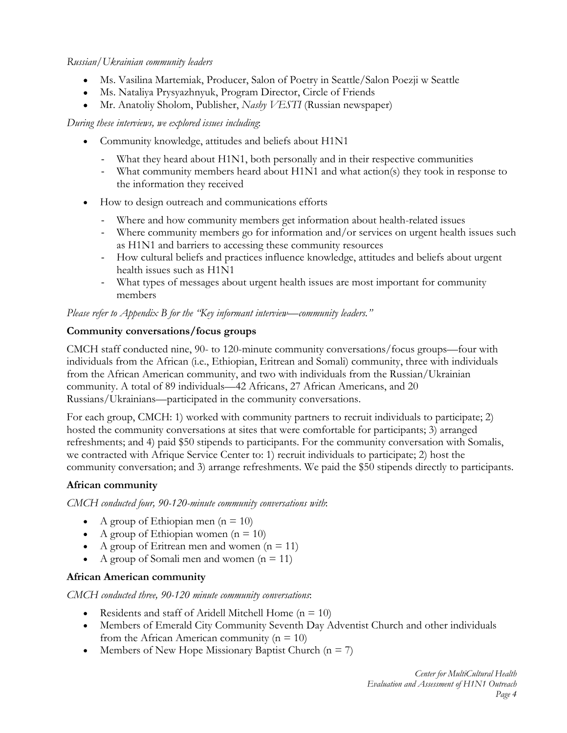## *Russian/Ukrainian community leaders*

- Ms. Vasilina Martemiak, Producer, Salon of Poetry in Seattle/Salon Poezji w Seattle
- Ms. Nataliya Prysyazhnyuk, Program Director, Circle of Friends
- Mr. Anatoliy Sholom, Publisher, *Nashy VESTI* (Russian newspaper)

#### *During these interviews, we explored issues including*:

- Community knowledge, attitudes and beliefs about H1N1
	- What they heard about H1N1, both personally and in their respective communities
	- What community members heard about H1N1 and what action(s) they took in response to the information they received
- How to design outreach and communications efforts
	- Where and how community members get information about health-related issues
	- Where community members go for information and/or services on urgent health issues such as H1N1 and barriers to accessing these community resources
	- How cultural beliefs and practices influence knowledge, attitudes and beliefs about urgent health issues such as H1N1
	- What types of messages about urgent health issues are most important for community members

*Please refer to Appendix B for the "Key informant interview—community leaders."*

## **Community conversations/focus groups**

CMCH staff conducted nine, 90- to 120-minute community conversations/focus groups—four with individuals from the African (i.e., Ethiopian, Eritrean and Somali) community, three with individuals from the African American community, and two with individuals from the Russian/Ukrainian community. A total of 89 individuals—42 Africans, 27 African Americans, and 20 Russians/Ukrainians—participated in the community conversations.

For each group, CMCH: 1) worked with community partners to recruit individuals to participate; 2) hosted the community conversations at sites that were comfortable for participants; 3) arranged refreshments; and 4) paid \$50 stipends to participants. For the community conversation with Somalis, we contracted with Afrique Service Center to: 1) recruit individuals to participate; 2) host the community conversation; and 3) arrange refreshments. We paid the \$50 stipends directly to participants.

# **African community**

*CMCH conducted four, 90-120-minute community conversations with*:

- A group of Ethiopian men  $(n = 10)$
- A group of Ethiopian women  $(n = 10)$
- A group of Eritrean men and women  $(n = 11)$
- A group of Somali men and women  $(n = 11)$

# **African American community**

*CMCH conducted three, 90-120 minute community conversations*:

- Residents and staff of Aridell Mitchell Home  $(n = 10)$
- Members of Emerald City Community Seventh Day Adventist Church and other individuals from the African American community ( $n = 10$ )
- Members of New Hope Missionary Baptist Church  $(n = 7)$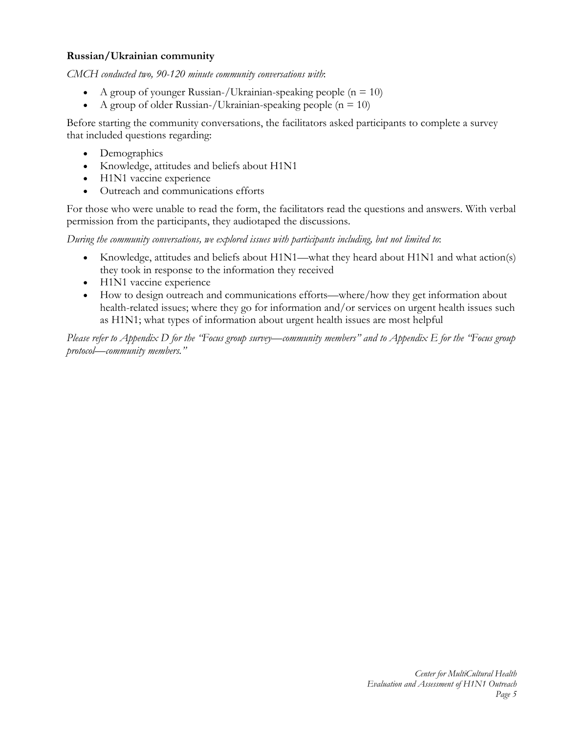## **Russian/Ukrainian community**

*CMCH conducted two, 90-120 minute community conversations with*:

- A group of younger Russian-/Ukrainian-speaking people ( $n = 10$ )
- A group of older Russian-/Ukrainian-speaking people ( $n = 10$ )

Before starting the community conversations, the facilitators asked participants to complete a survey that included questions regarding:

- Demographics
- Knowledge, attitudes and beliefs about H1N1
- H1N1 vaccine experience
- Outreach and communications efforts

For those who were unable to read the form, the facilitators read the questions and answers. With verbal permission from the participants, they audiotaped the discussions.

*During the community conversations, we explored issues with participants including, but not limited to*:

- Knowledge, attitudes and beliefs about H1N1—what they heard about H1N1 and what action(s) they took in response to the information they received
- H1N1 vaccine experience
- How to design outreach and communications efforts—where/how they get information about health-related issues; where they go for information and/or services on urgent health issues such as H1N1; what types of information about urgent health issues are most helpful

*Please refer to Appendix D for the "Focus group survey—community members" and to Appendix E for the "Focus group protocol—community members."*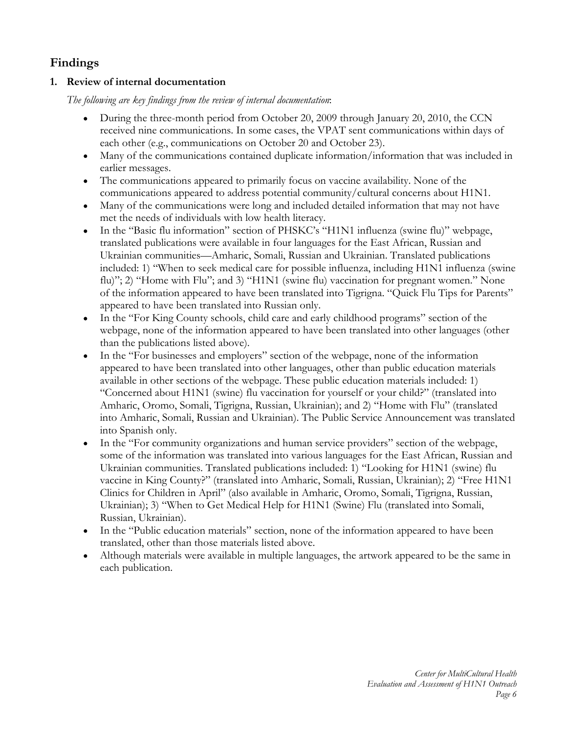# **Findings**

# **1. Review of internal documentation**

*The following are key findings from the review of internal documentation*:

- During the three-month period from October 20, 2009 through January 20, 2010, the CCN received nine communications. In some cases, the VPAT sent communications within days of each other (e.g., communications on October 20 and October 23).
- Many of the communications contained duplicate information/information that was included in earlier messages.
- The communications appeared to primarily focus on vaccine availability. None of the communications appeared to address potential community/cultural concerns about H1N1.
- Many of the communications were long and included detailed information that may not have met the needs of individuals with low health literacy.
- In the "Basic flu information" section of PHSKC's "H1N1 influenza (swine flu)" webpage, translated publications were available in four languages for the East African, Russian and Ukrainian communities—Amharic, Somali, Russian and Ukrainian. Translated publications included: 1) "When to seek medical care for possible influenza, including H1N1 influenza (swine flu)"; 2) "Home with Flu"; and 3) "H1N1 (swine flu) vaccination for pregnant women." None of the information appeared to have been translated into Tigrigna. "Quick Flu Tips for Parents" appeared to have been translated into Russian only.
- In the "For King County schools, child care and early childhood programs" section of the webpage, none of the information appeared to have been translated into other languages (other than the publications listed above).
- In the "For businesses and employers" section of the webpage, none of the information appeared to have been translated into other languages, other than public education materials available in other sections of the webpage. These public education materials included: 1) "Concerned about H1N1 (swine) flu vaccination for yourself or your child?" (translated into Amharic, Oromo, Somali, Tigrigna, Russian, Ukrainian); and 2) "Home with Flu" (translated into Amharic, Somali, Russian and Ukrainian). The Public Service Announcement was translated into Spanish only.
- In the "For community organizations and human service providers" section of the webpage, some of the information was translated into various languages for the East African, Russian and Ukrainian communities. Translated publications included: 1) "Looking for H1N1 (swine) flu vaccine in King County?" (translated into Amharic, Somali, Russian, Ukrainian); 2) "Free H1N1 Clinics for Children in April" (also available in Amharic, Oromo, Somali, Tigrigna, Russian, Ukrainian); 3) "When to Get Medical Help for H1N1 (Swine) Flu (translated into Somali, Russian, Ukrainian).
- In the "Public education materials" section, none of the information appeared to have been translated, other than those materials listed above.
- Although materials were available in multiple languages, the artwork appeared to be the same in each publication.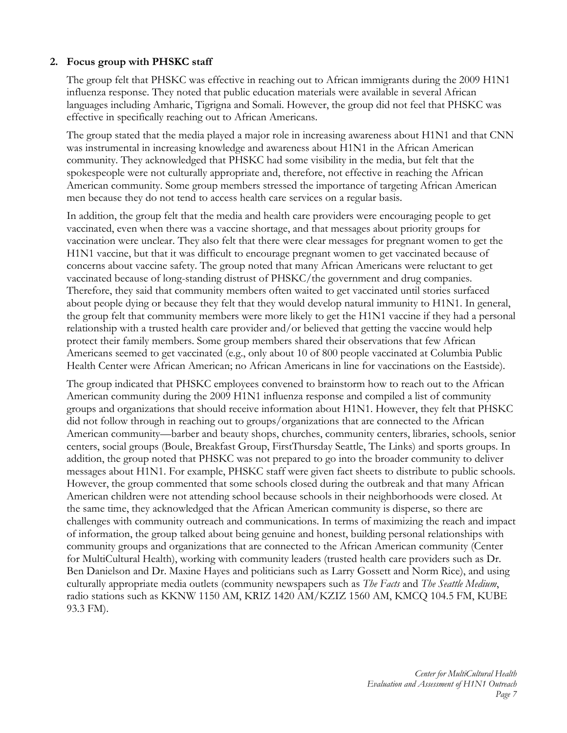# **2. Focus group with PHSKC staff**

The group felt that PHSKC was effective in reaching out to African immigrants during the 2009 H1N1 influenza response. They noted that public education materials were available in several African languages including Amharic, Tigrigna and Somali. However, the group did not feel that PHSKC was effective in specifically reaching out to African Americans.

The group stated that the media played a major role in increasing awareness about H1N1 and that CNN was instrumental in increasing knowledge and awareness about H1N1 in the African American community. They acknowledged that PHSKC had some visibility in the media, but felt that the spokespeople were not culturally appropriate and, therefore, not effective in reaching the African American community. Some group members stressed the importance of targeting African American men because they do not tend to access health care services on a regular basis.

In addition, the group felt that the media and health care providers were encouraging people to get vaccinated, even when there was a vaccine shortage, and that messages about priority groups for vaccination were unclear. They also felt that there were clear messages for pregnant women to get the H1N1 vaccine, but that it was difficult to encourage pregnant women to get vaccinated because of concerns about vaccine safety. The group noted that many African Americans were reluctant to get vaccinated because of long-standing distrust of PHSKC/the government and drug companies. Therefore, they said that community members often waited to get vaccinated until stories surfaced about people dying or because they felt that they would develop natural immunity to H1N1. In general, the group felt that community members were more likely to get the H1N1 vaccine if they had a personal relationship with a trusted health care provider and/or believed that getting the vaccine would help protect their family members. Some group members shared their observations that few African Americans seemed to get vaccinated (e.g., only about 10 of 800 people vaccinated at Columbia Public Health Center were African American; no African Americans in line for vaccinations on the Eastside).

The group indicated that PHSKC employees convened to brainstorm how to reach out to the African American community during the 2009 H1N1 influenza response and compiled a list of community groups and organizations that should receive information about H1N1. However, they felt that PHSKC did not follow through in reaching out to groups/organizations that are connected to the African American community—barber and beauty shops, churches, community centers, libraries, schools, senior centers, social groups (Boule, Breakfast Group, FirstThursday Seattle, The Links) and sports groups. In addition, the group noted that PHSKC was not prepared to go into the broader community to deliver messages about H1N1. For example, PHSKC staff were given fact sheets to distribute to public schools. However, the group commented that some schools closed during the outbreak and that many African American children were not attending school because schools in their neighborhoods were closed. At the same time, they acknowledged that the African American community is disperse, so there are challenges with community outreach and communications. In terms of maximizing the reach and impact of information, the group talked about being genuine and honest, building personal relationships with community groups and organizations that are connected to the African American community (Center for MultiCultural Health), working with community leaders (trusted health care providers such as Dr. Ben Danielson and Dr. Maxine Hayes and politicians such as Larry Gossett and Norm Rice), and using culturally appropriate media outlets (community newspapers such as *The Facts* and *The Seattle Medium*, radio stations such as KKNW 1150 AM, KRIZ 1420 AM/KZIZ 1560 AM, KMCQ 104.5 FM, KUBE 93.3 FM).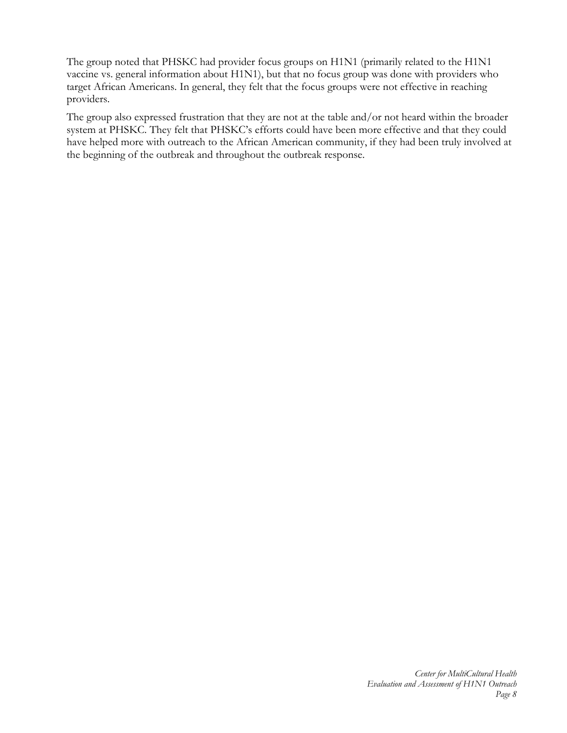The group noted that PHSKC had provider focus groups on H1N1 (primarily related to the H1N1 vaccine vs. general information about H1N1), but that no focus group was done with providers who target African Americans. In general, they felt that the focus groups were not effective in reaching providers.

The group also expressed frustration that they are not at the table and/or not heard within the broader system at PHSKC. They felt that PHSKC's efforts could have been more effective and that they could have helped more with outreach to the African American community, if they had been truly involved at the beginning of the outbreak and throughout the outbreak response.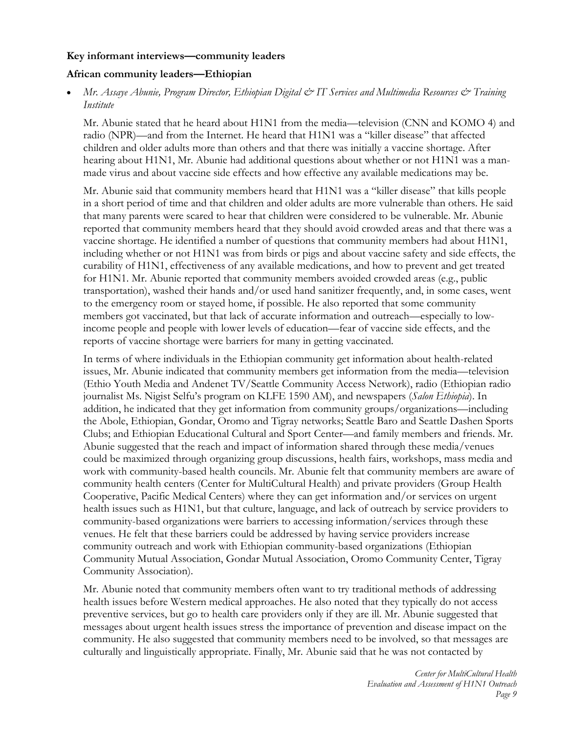#### **Key informant interviews—community leaders**

## **African community leaders—Ethiopian**

 *Mr. Assaye Abunie, Program Director, Ethiopian Digital & IT Services and Multimedia Resources & Training Institute* 

Mr. Abunie stated that he heard about H1N1 from the media—television (CNN and KOMO 4) and radio (NPR)—and from the Internet. He heard that H1N1 was a "killer disease" that affected children and older adults more than others and that there was initially a vaccine shortage. After hearing about H1N1, Mr. Abunie had additional questions about whether or not H1N1 was a manmade virus and about vaccine side effects and how effective any available medications may be.

Mr. Abunie said that community members heard that H1N1 was a "killer disease" that kills people in a short period of time and that children and older adults are more vulnerable than others. He said that many parents were scared to hear that children were considered to be vulnerable. Mr. Abunie reported that community members heard that they should avoid crowded areas and that there was a vaccine shortage. He identified a number of questions that community members had about H1N1, including whether or not H1N1 was from birds or pigs and about vaccine safety and side effects, the curability of H1N1, effectiveness of any available medications, and how to prevent and get treated for H1N1. Mr. Abunie reported that community members avoided crowded areas (e.g., public transportation), washed their hands and/or used hand sanitizer frequently, and, in some cases, went to the emergency room or stayed home, if possible. He also reported that some community members got vaccinated, but that lack of accurate information and outreach—especially to lowincome people and people with lower levels of education—fear of vaccine side effects, and the reports of vaccine shortage were barriers for many in getting vaccinated.

In terms of where individuals in the Ethiopian community get information about health-related issues, Mr. Abunie indicated that community members get information from the media—television (Ethio Youth Media and Andenet TV/Seattle Community Access Network), radio (Ethiopian radio journalist Ms. Nigist Selfu's program on KLFE 1590 AM), and newspapers (*Salon Ethiopia*). In addition, he indicated that they get information from community groups/organizations—including the Abole, Ethiopian, Gondar, Oromo and Tigray networks; Seattle Baro and Seattle Dashen Sports Clubs; and Ethiopian Educational Cultural and Sport Center—and family members and friends. Mr. Abunie suggested that the reach and impact of information shared through these media/venues could be maximized through organizing group discussions, health fairs, workshops, mass media and work with community-based health councils. Mr. Abunie felt that community members are aware of community health centers (Center for MultiCultural Health) and private providers (Group Health Cooperative, Pacific Medical Centers) where they can get information and/or services on urgent health issues such as H1N1, but that culture, language, and lack of outreach by service providers to community-based organizations were barriers to accessing information/services through these venues. He felt that these barriers could be addressed by having service providers increase community outreach and work with Ethiopian community-based organizations (Ethiopian Community Mutual Association, Gondar Mutual Association, Oromo Community Center, Tigray Community Association).

Mr. Abunie noted that community members often want to try traditional methods of addressing health issues before Western medical approaches. He also noted that they typically do not access preventive services, but go to health care providers only if they are ill. Mr. Abunie suggested that messages about urgent health issues stress the importance of prevention and disease impact on the community. He also suggested that community members need to be involved, so that messages are culturally and linguistically appropriate. Finally, Mr. Abunie said that he was not contacted by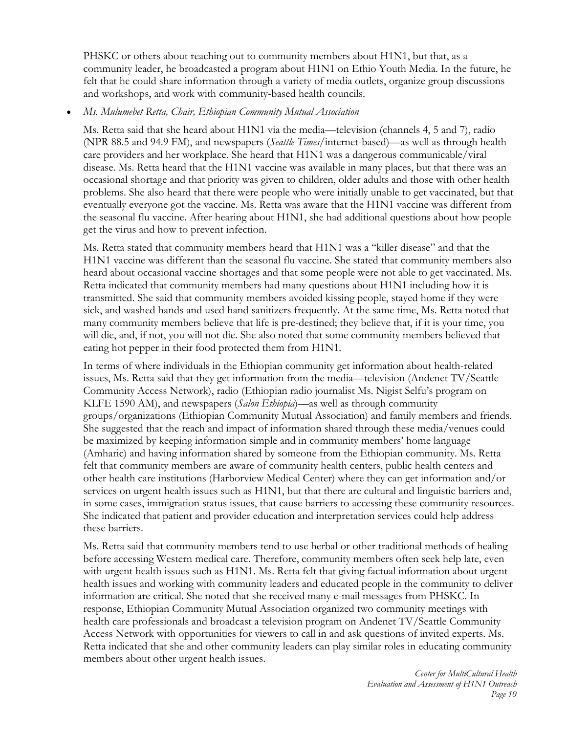PHSKC or others about reaching out to community members about H1N1, but that, as a community leader, he broadcasted a program about H1N1 on Ethio Youth Media. In the future, he felt that he could share information through a variety of media outlets, organize group discussions and workshops, and work with community-based health councils.

*Ms. Mulumebet Retta, Chair, Ethiopian Community Mutual Association* 

Ms. Retta said that she heard about H1N1 via the media—television (channels 4, 5 and 7), radio (NPR 88.5 and 94.9 FM), and newspapers (*Seattle Times*/internet-based)—as well as through health care providers and her workplace. She heard that H1N1 was a dangerous communicable/viral disease. Ms. Retta heard that the H1N1 vaccine was available in many places, but that there was an occasional shortage and that priority was given to children, older adults and those with other health problems. She also heard that there were people who were initially unable to get vaccinated, but that eventually everyone got the vaccine. Ms. Retta was aware that the H1N1 vaccine was different from the seasonal flu vaccine. After hearing about H1N1, she had additional questions about how people get the virus and how to prevent infection.

Ms. Retta stated that community members heard that H1N1 was a "killer disease" and that the H1N1 vaccine was different than the seasonal flu vaccine. She stated that community members also heard about occasional vaccine shortages and that some people were not able to get vaccinated. Ms. Retta indicated that community members had many questions about H1N1 including how it is transmitted. She said that community members avoided kissing people, stayed home if they were sick, and washed hands and used hand sanitizers frequently. At the same time, Ms. Retta noted that many community members believe that life is pre-destined; they believe that, if it is your time, you will die, and, if not, you will not die. She also noted that some community members believed that eating hot pepper in their food protected them from H1N1.

In terms of where individuals in the Ethiopian community get information about health-related issues, Ms. Retta said that they get information from the media—television (Andenet TV/Seattle Community Access Network), radio (Ethiopian radio journalist Ms. Nigist Selfu's program on KLFE 1590 AM), and newspapers (*Salon Ethiopia*)—as well as through community groups/organizations (Ethiopian Community Mutual Association) and family members and friends. She suggested that the reach and impact of information shared through these media/venues could be maximized by keeping information simple and in community members' home language (Amharic) and having information shared by someone from the Ethiopian community. Ms. Retta felt that community members are aware of community health centers, public health centers and other health care institutions (Harborview Medical Center) where they can get information and/or services on urgent health issues such as H1N1, but that there are cultural and linguistic barriers and, in some cases, immigration status issues, that cause barriers to accessing these community resources. She indicated that patient and provider education and interpretation services could help address these barriers.

Ms. Retta said that community members tend to use herbal or other traditional methods of healing before accessing Western medical care. Therefore, community members often seek help late, even with urgent health issues such as H1N1. Ms. Retta felt that giving factual information about urgent health issues and working with community leaders and educated people in the community to deliver information are critical. She noted that she received many e-mail messages from PHSKC. In response, Ethiopian Community Mutual Association organized two community meetings with health care professionals and broadcast a television program on Andenet TV/Seattle Community Access Network with opportunities for viewers to call in and ask questions of invited experts. Ms. Retta indicated that she and other community leaders can play similar roles in educating community members about other urgent health issues.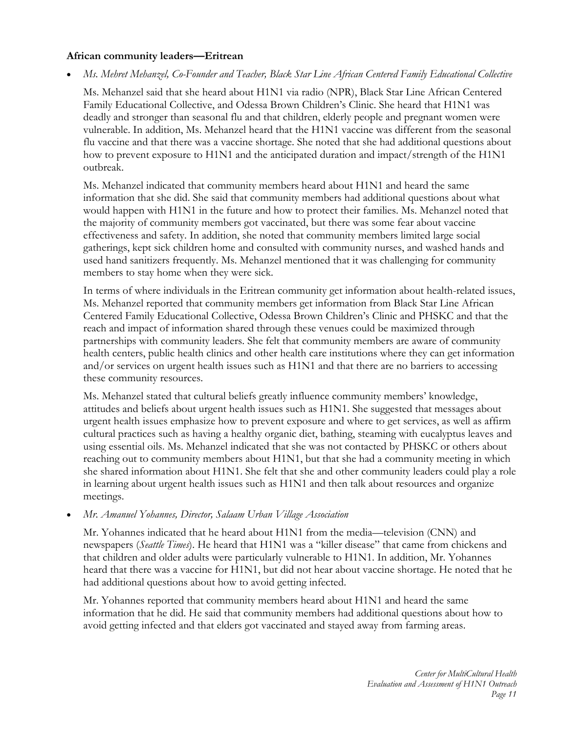## **African community leaders—Eritrean**

*Ms. Mehret Mehanzel, Co-Founder and Teacher, Black Star Line African Centered Family Educational Collective* 

Ms. Mehanzel said that she heard about H1N1 via radio (NPR), Black Star Line African Centered Family Educational Collective, and Odessa Brown Children's Clinic. She heard that H1N1 was deadly and stronger than seasonal flu and that children, elderly people and pregnant women were vulnerable. In addition, Ms. Mehanzel heard that the H1N1 vaccine was different from the seasonal flu vaccine and that there was a vaccine shortage. She noted that she had additional questions about how to prevent exposure to H1N1 and the anticipated duration and impact/strength of the H1N1 outbreak.

Ms. Mehanzel indicated that community members heard about H1N1 and heard the same information that she did. She said that community members had additional questions about what would happen with H1N1 in the future and how to protect their families. Ms. Mehanzel noted that the majority of community members got vaccinated, but there was some fear about vaccine effectiveness and safety. In addition, she noted that community members limited large social gatherings, kept sick children home and consulted with community nurses, and washed hands and used hand sanitizers frequently. Ms. Mehanzel mentioned that it was challenging for community members to stay home when they were sick.

In terms of where individuals in the Eritrean community get information about health-related issues, Ms. Mehanzel reported that community members get information from Black Star Line African Centered Family Educational Collective, Odessa Brown Children's Clinic and PHSKC and that the reach and impact of information shared through these venues could be maximized through partnerships with community leaders. She felt that community members are aware of community health centers, public health clinics and other health care institutions where they can get information and/or services on urgent health issues such as H1N1 and that there are no barriers to accessing these community resources.

Ms. Mehanzel stated that cultural beliefs greatly influence community members' knowledge, attitudes and beliefs about urgent health issues such as H1N1. She suggested that messages about urgent health issues emphasize how to prevent exposure and where to get services, as well as affirm cultural practices such as having a healthy organic diet, bathing, steaming with eucalyptus leaves and using essential oils. Ms. Mehanzel indicated that she was not contacted by PHSKC or others about reaching out to community members about H1N1, but that she had a community meeting in which she shared information about H1N1. She felt that she and other community leaders could play a role in learning about urgent health issues such as H1N1 and then talk about resources and organize meetings.

#### *Mr. Amanuel Yohannes, Director, Salaam Urban Village Association*

Mr. Yohannes indicated that he heard about H1N1 from the media—television (CNN) and newspapers (*Seattle Times*). He heard that H1N1 was a "killer disease" that came from chickens and that children and older adults were particularly vulnerable to H1N1. In addition, Mr. Yohannes heard that there was a vaccine for H1N1, but did not hear about vaccine shortage. He noted that he had additional questions about how to avoid getting infected.

Mr. Yohannes reported that community members heard about H1N1 and heard the same information that he did. He said that community members had additional questions about how to avoid getting infected and that elders got vaccinated and stayed away from farming areas.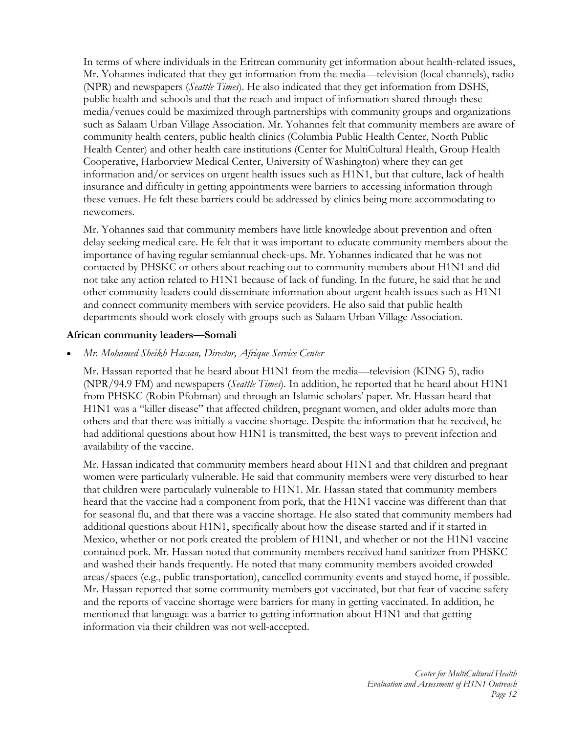In terms of where individuals in the Eritrean community get information about health-related issues, Mr. Yohannes indicated that they get information from the media—television (local channels), radio (NPR) and newspapers (*Seattle Times*). He also indicated that they get information from DSHS, public health and schools and that the reach and impact of information shared through these media/venues could be maximized through partnerships with community groups and organizations such as Salaam Urban Village Association. Mr. Yohannes felt that community members are aware of community health centers, public health clinics (Columbia Public Health Center, North Public Health Center) and other health care institutions (Center for MultiCultural Health, Group Health Cooperative, Harborview Medical Center, University of Washington) where they can get information and/or services on urgent health issues such as H1N1, but that culture, lack of health insurance and difficulty in getting appointments were barriers to accessing information through these venues. He felt these barriers could be addressed by clinics being more accommodating to newcomers.

Mr. Yohannes said that community members have little knowledge about prevention and often delay seeking medical care. He felt that it was important to educate community members about the importance of having regular semiannual check-ups. Mr. Yohannes indicated that he was not contacted by PHSKC or others about reaching out to community members about H1N1 and did not take any action related to H1N1 because of lack of funding. In the future, he said that he and other community leaders could disseminate information about urgent health issues such as H1N1 and connect community members with service providers. He also said that public health departments should work closely with groups such as Salaam Urban Village Association.

#### **African community leaders—Somali**

*Mr. Mohamed Sheikh Hassan, Director, Afrique Service Center* 

Mr. Hassan reported that he heard about H1N1 from the media—television (KING 5), radio (NPR/94.9 FM) and newspapers (*Seattle Times*). In addition, he reported that he heard about H1N1 from PHSKC (Robin Pfohman) and through an Islamic scholars' paper. Mr. Hassan heard that H1N1 was a "killer disease" that affected children, pregnant women, and older adults more than others and that there was initially a vaccine shortage. Despite the information that he received, he had additional questions about how H1N1 is transmitted, the best ways to prevent infection and availability of the vaccine.

Mr. Hassan indicated that community members heard about H1N1 and that children and pregnant women were particularly vulnerable. He said that community members were very disturbed to hear that children were particularly vulnerable to H1N1. Mr. Hassan stated that community members heard that the vaccine had a component from pork, that the H1N1 vaccine was different than that for seasonal flu, and that there was a vaccine shortage. He also stated that community members had additional questions about H1N1, specifically about how the disease started and if it started in Mexico, whether or not pork created the problem of H1N1, and whether or not the H1N1 vaccine contained pork. Mr. Hassan noted that community members received hand sanitizer from PHSKC and washed their hands frequently. He noted that many community members avoided crowded areas/spaces (e.g., public transportation), cancelled community events and stayed home, if possible. Mr. Hassan reported that some community members got vaccinated, but that fear of vaccine safety and the reports of vaccine shortage were barriers for many in getting vaccinated. In addition, he mentioned that language was a barrier to getting information about H1N1 and that getting information via their children was not well-accepted.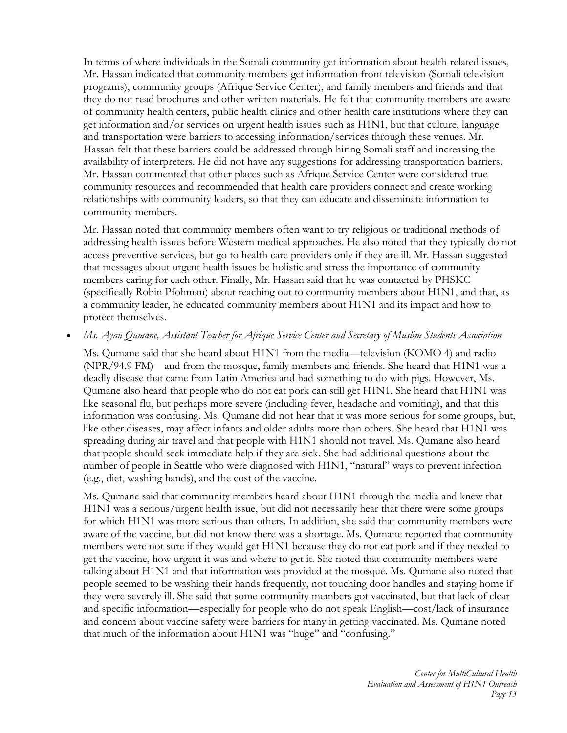In terms of where individuals in the Somali community get information about health-related issues, Mr. Hassan indicated that community members get information from television (Somali television programs), community groups (Afrique Service Center), and family members and friends and that they do not read brochures and other written materials. He felt that community members are aware of community health centers, public health clinics and other health care institutions where they can get information and/or services on urgent health issues such as H1N1, but that culture, language and transportation were barriers to accessing information/services through these venues. Mr. Hassan felt that these barriers could be addressed through hiring Somali staff and increasing the availability of interpreters. He did not have any suggestions for addressing transportation barriers. Mr. Hassan commented that other places such as Afrique Service Center were considered true community resources and recommended that health care providers connect and create working relationships with community leaders, so that they can educate and disseminate information to community members.

Mr. Hassan noted that community members often want to try religious or traditional methods of addressing health issues before Western medical approaches. He also noted that they typically do not access preventive services, but go to health care providers only if they are ill. Mr. Hassan suggested that messages about urgent health issues be holistic and stress the importance of community members caring for each other. Finally, Mr. Hassan said that he was contacted by PHSKC (specifically Robin Pfohman) about reaching out to community members about H1N1, and that, as a community leader, he educated community members about H1N1 and its impact and how to protect themselves.

#### *Ms. Ayan Qumane, Assistant Teacher for Afrique Service Center and Secretary of Muslim Students Association*

Ms. Qumane said that she heard about H1N1 from the media—television (KOMO 4) and radio (NPR/94.9 FM)—and from the mosque, family members and friends. She heard that H1N1 was a deadly disease that came from Latin America and had something to do with pigs. However, Ms. Qumane also heard that people who do not eat pork can still get H1N1. She heard that H1N1 was like seasonal flu, but perhaps more severe (including fever, headache and vomiting), and that this information was confusing. Ms. Qumane did not hear that it was more serious for some groups, but, like other diseases, may affect infants and older adults more than others. She heard that H1N1 was spreading during air travel and that people with H1N1 should not travel. Ms. Qumane also heard that people should seek immediate help if they are sick. She had additional questions about the number of people in Seattle who were diagnosed with H1N1, "natural" ways to prevent infection (e.g., diet, washing hands), and the cost of the vaccine.

Ms. Qumane said that community members heard about H1N1 through the media and knew that H1N1 was a serious/urgent health issue, but did not necessarily hear that there were some groups for which H1N1 was more serious than others. In addition, she said that community members were aware of the vaccine, but did not know there was a shortage. Ms. Qumane reported that community members were not sure if they would get H1N1 because they do not eat pork and if they needed to get the vaccine, how urgent it was and where to get it. She noted that community members were talking about H1N1 and that information was provided at the mosque. Ms. Qumane also noted that people seemed to be washing their hands frequently, not touching door handles and staying home if they were severely ill. She said that some community members got vaccinated, but that lack of clear and specific information—especially for people who do not speak English—cost/lack of insurance and concern about vaccine safety were barriers for many in getting vaccinated. Ms. Qumane noted that much of the information about H1N1 was "huge" and "confusing."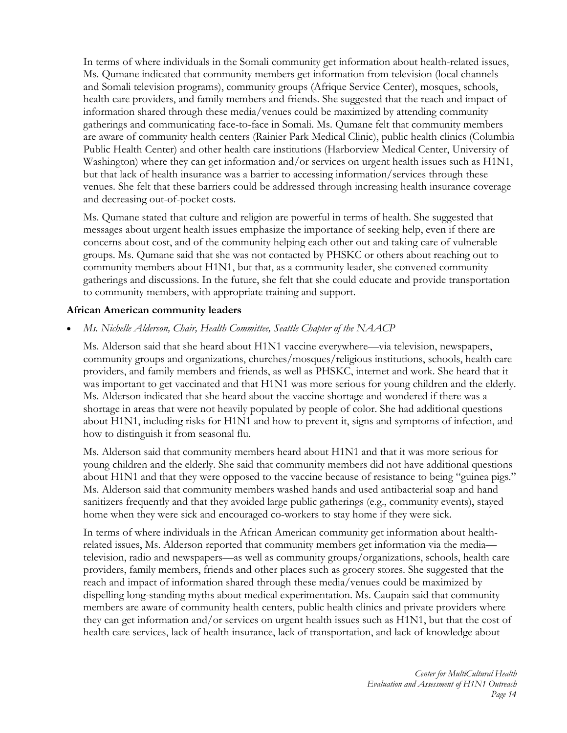In terms of where individuals in the Somali community get information about health-related issues, Ms. Qumane indicated that community members get information from television (local channels and Somali television programs), community groups (Afrique Service Center), mosques, schools, health care providers, and family members and friends. She suggested that the reach and impact of information shared through these media/venues could be maximized by attending community gatherings and communicating face-to-face in Somali. Ms. Qumane felt that community members are aware of community health centers (Rainier Park Medical Clinic), public health clinics (Columbia Public Health Center) and other health care institutions (Harborview Medical Center, University of Washington) where they can get information and/or services on urgent health issues such as H1N1, but that lack of health insurance was a barrier to accessing information/services through these venues. She felt that these barriers could be addressed through increasing health insurance coverage and decreasing out-of-pocket costs.

Ms. Qumane stated that culture and religion are powerful in terms of health. She suggested that messages about urgent health issues emphasize the importance of seeking help, even if there are concerns about cost, and of the community helping each other out and taking care of vulnerable groups. Ms. Qumane said that she was not contacted by PHSKC or others about reaching out to community members about H1N1, but that, as a community leader, she convened community gatherings and discussions. In the future, she felt that she could educate and provide transportation to community members, with appropriate training and support.

## **African American community leaders**

*Ms. Nichelle Alderson, Chair, Health Committee, Seattle Chapter of the NAACP* 

Ms. Alderson said that she heard about H1N1 vaccine everywhere—via television, newspapers, community groups and organizations, churches/mosques/religious institutions, schools, health care providers, and family members and friends, as well as PHSKC, internet and work. She heard that it was important to get vaccinated and that H1N1 was more serious for young children and the elderly. Ms. Alderson indicated that she heard about the vaccine shortage and wondered if there was a shortage in areas that were not heavily populated by people of color. She had additional questions about H1N1, including risks for H1N1 and how to prevent it, signs and symptoms of infection, and how to distinguish it from seasonal flu.

Ms. Alderson said that community members heard about H1N1 and that it was more serious for young children and the elderly. She said that community members did not have additional questions about H1N1 and that they were opposed to the vaccine because of resistance to being "guinea pigs." Ms. Alderson said that community members washed hands and used antibacterial soap and hand sanitizers frequently and that they avoided large public gatherings (e.g., community events), stayed home when they were sick and encouraged co-workers to stay home if they were sick.

In terms of where individuals in the African American community get information about healthrelated issues, Ms. Alderson reported that community members get information via the media television, radio and newspapers—as well as community groups/organizations, schools, health care providers, family members, friends and other places such as grocery stores. She suggested that the reach and impact of information shared through these media/venues could be maximized by dispelling long-standing myths about medical experimentation. Ms. Caupain said that community members are aware of community health centers, public health clinics and private providers where they can get information and/or services on urgent health issues such as H1N1, but that the cost of health care services, lack of health insurance, lack of transportation, and lack of knowledge about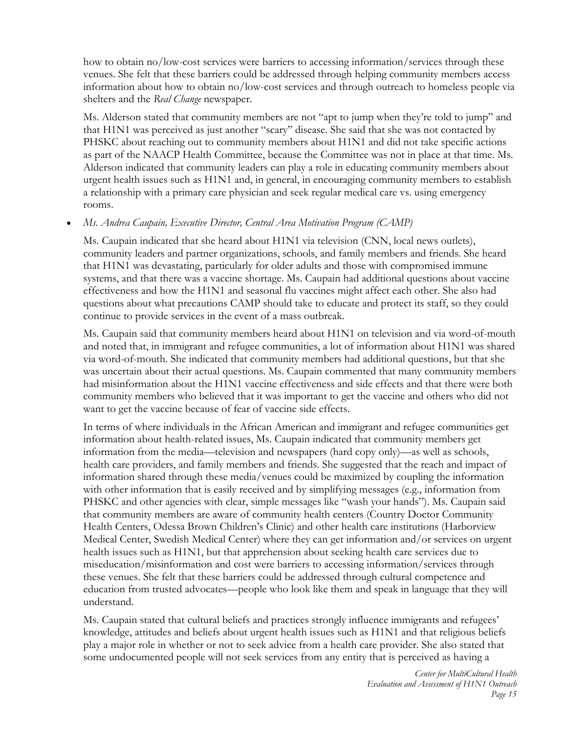how to obtain no/low-cost services were barriers to accessing information/services through these venues. She felt that these barriers could be addressed through helping community members access information about how to obtain no/low-cost services and through outreach to homeless people via shelters and the *Real Change* newspaper.

Ms. Alderson stated that community members are not "apt to jump when they're told to jump" and that H1N1 was perceived as just another "scary" disease. She said that she was not contacted by PHSKC about reaching out to community members about H1N1 and did not take specific actions as part of the NAACP Health Committee, because the Committee was not in place at that time. Ms. Alderson indicated that community leaders can play a role in educating community members about urgent health issues such as H1N1 and, in general, in encouraging community members to establish a relationship with a primary care physician and seek regular medical care vs. using emergency rooms.

# *Ms. Andrea Caupain, Executive Director, Central Area Motivation Program (CAMP)*

Ms. Caupain indicated that she heard about H1N1 via television (CNN, local news outlets), community leaders and partner organizations, schools, and family members and friends. She heard that H1N1 was devastating, particularly for older adults and those with compromised immune systems, and that there was a vaccine shortage. Ms. Caupain had additional questions about vaccine effectiveness and how the H1N1 and seasonal flu vaccines might affect each other. She also had questions about what precautions CAMP should take to educate and protect its staff, so they could continue to provide services in the event of a mass outbreak.

Ms. Caupain said that community members heard about H1N1 on television and via word-of-mouth and noted that, in immigrant and refugee communities, a lot of information about H1N1 was shared via word-of-mouth. She indicated that community members had additional questions, but that she was uncertain about their actual questions. Ms. Caupain commented that many community members had misinformation about the H1N1 vaccine effectiveness and side effects and that there were both community members who believed that it was important to get the vaccine and others who did not want to get the vaccine because of fear of vaccine side effects.

In terms of where individuals in the African American and immigrant and refugee communities get information about health-related issues, Ms. Caupain indicated that community members get information from the media—television and newspapers (hard copy only)—as well as schools, health care providers, and family members and friends. She suggested that the reach and impact of information shared through these media/venues could be maximized by coupling the information with other information that is easily received and by simplifying messages (e.g., information from PHSKC and other agencies with clear, simple messages like "wash your hands"). Ms. Caupain said that community members are aware of community health centers (Country Doctor Community Health Centers, Odessa Brown Children's Clinic) and other health care institutions (Harborview Medical Center, Swedish Medical Center) where they can get information and/or services on urgent health issues such as H1N1, but that apprehension about seeking health care services due to miseducation/misinformation and cost were barriers to accessing information/services through these venues. She felt that these barriers could be addressed through cultural competence and education from trusted advocates—people who look like them and speak in language that they will understand.

Ms. Caupain stated that cultural beliefs and practices strongly influence immigrants and refugees' knowledge, attitudes and beliefs about urgent health issues such as H1N1 and that religious beliefs play a major role in whether or not to seek advice from a health care provider. She also stated that some undocumented people will not seek services from any entity that is perceived as having a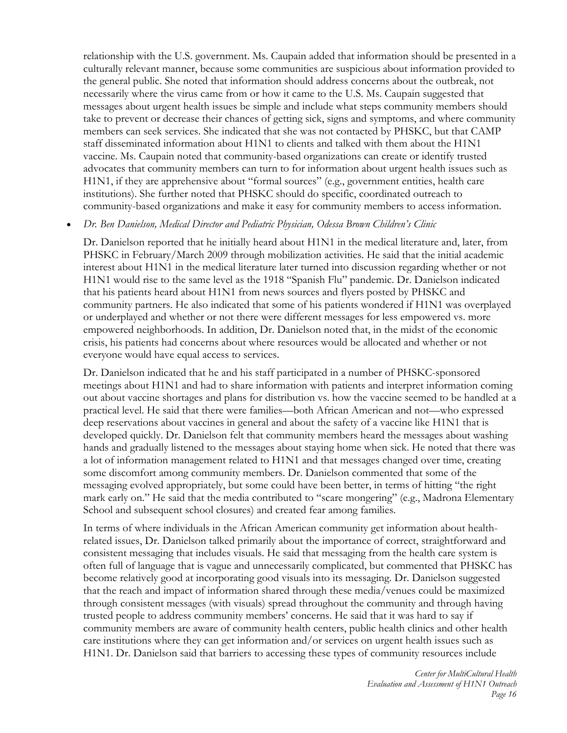relationship with the U.S. government. Ms. Caupain added that information should be presented in a culturally relevant manner, because some communities are suspicious about information provided to the general public. She noted that information should address concerns about the outbreak, not necessarily where the virus came from or how it came to the U.S. Ms. Caupain suggested that messages about urgent health issues be simple and include what steps community members should take to prevent or decrease their chances of getting sick, signs and symptoms, and where community members can seek services. She indicated that she was not contacted by PHSKC, but that CAMP staff disseminated information about H1N1 to clients and talked with them about the H1N1 vaccine. Ms. Caupain noted that community-based organizations can create or identify trusted advocates that community members can turn to for information about urgent health issues such as H1N1, if they are apprehensive about "formal sources" (e.g., government entities, health care institutions). She further noted that PHSKC should do specific, coordinated outreach to community-based organizations and make it easy for community members to access information.

## *Dr. Ben Danielson, Medical Director and Pediatric Physician, Odessa Brown Children's Clinic*

Dr. Danielson reported that he initially heard about H1N1 in the medical literature and, later, from PHSKC in February/March 2009 through mobilization activities. He said that the initial academic interest about H1N1 in the medical literature later turned into discussion regarding whether or not H1N1 would rise to the same level as the 1918 "Spanish Flu" pandemic. Dr. Danielson indicated that his patients heard about H1N1 from news sources and flyers posted by PHSKC and community partners. He also indicated that some of his patients wondered if H1N1 was overplayed or underplayed and whether or not there were different messages for less empowered vs. more empowered neighborhoods. In addition, Dr. Danielson noted that, in the midst of the economic crisis, his patients had concerns about where resources would be allocated and whether or not everyone would have equal access to services.

Dr. Danielson indicated that he and his staff participated in a number of PHSKC-sponsored meetings about H1N1 and had to share information with patients and interpret information coming out about vaccine shortages and plans for distribution vs. how the vaccine seemed to be handled at a practical level. He said that there were families—both African American and not—who expressed deep reservations about vaccines in general and about the safety of a vaccine like H1N1 that is developed quickly. Dr. Danielson felt that community members heard the messages about washing hands and gradually listened to the messages about staying home when sick. He noted that there was a lot of information management related to H1N1 and that messages changed over time, creating some discomfort among community members. Dr. Danielson commented that some of the messaging evolved appropriately, but some could have been better, in terms of hitting "the right mark early on." He said that the media contributed to "scare mongering" (e.g., Madrona Elementary School and subsequent school closures) and created fear among families.

In terms of where individuals in the African American community get information about healthrelated issues, Dr. Danielson talked primarily about the importance of correct, straightforward and consistent messaging that includes visuals. He said that messaging from the health care system is often full of language that is vague and unnecessarily complicated, but commented that PHSKC has become relatively good at incorporating good visuals into its messaging. Dr. Danielson suggested that the reach and impact of information shared through these media/venues could be maximized through consistent messages (with visuals) spread throughout the community and through having trusted people to address community members' concerns. He said that it was hard to say if community members are aware of community health centers, public health clinics and other health care institutions where they can get information and/or services on urgent health issues such as H1N1. Dr. Danielson said that barriers to accessing these types of community resources include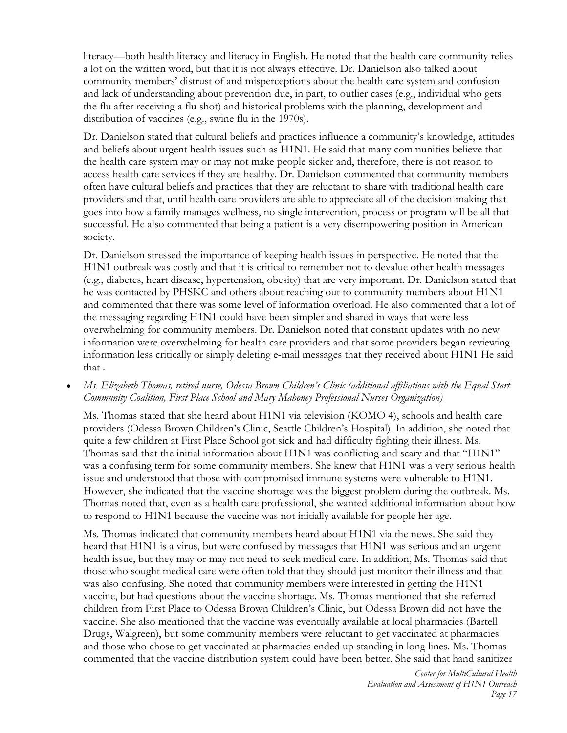literacy—both health literacy and literacy in English. He noted that the health care community relies a lot on the written word, but that it is not always effective. Dr. Danielson also talked about community members' distrust of and misperceptions about the health care system and confusion and lack of understanding about prevention due, in part, to outlier cases (e.g., individual who gets the flu after receiving a flu shot) and historical problems with the planning, development and distribution of vaccines (e.g., swine flu in the 1970s).

Dr. Danielson stated that cultural beliefs and practices influence a community's knowledge, attitudes and beliefs about urgent health issues such as H1N1. He said that many communities believe that the health care system may or may not make people sicker and, therefore, there is not reason to access health care services if they are healthy. Dr. Danielson commented that community members often have cultural beliefs and practices that they are reluctant to share with traditional health care providers and that, until health care providers are able to appreciate all of the decision-making that goes into how a family manages wellness, no single intervention, process or program will be all that successful. He also commented that being a patient is a very disempowering position in American society.

Dr. Danielson stressed the importance of keeping health issues in perspective. He noted that the H1N1 outbreak was costly and that it is critical to remember not to devalue other health messages (e.g., diabetes, heart disease, hypertension, obesity) that are very important. Dr. Danielson stated that he was contacted by PHSKC and others about reaching out to community members about H1N1 and commented that there was some level of information overload. He also commented that a lot of the messaging regarding H1N1 could have been simpler and shared in ways that were less overwhelming for community members. Dr. Danielson noted that constant updates with no new information were overwhelming for health care providers and that some providers began reviewing information less critically or simply deleting e-mail messages that they received about H1N1 He said that .

#### *Ms. Elizabeth Thomas, retired nurse, Odessa Brown Children's Clinic (additional affiliations with the Equal Start Community Coalition, First Place School and Mary Mahoney Professional Nurses Organization)*

Ms. Thomas stated that she heard about H1N1 via television (KOMO 4), schools and health care providers (Odessa Brown Children's Clinic, Seattle Children's Hospital). In addition, she noted that quite a few children at First Place School got sick and had difficulty fighting their illness. Ms. Thomas said that the initial information about H1N1 was conflicting and scary and that "H1N1" was a confusing term for some community members. She knew that H1N1 was a very serious health issue and understood that those with compromised immune systems were vulnerable to H1N1. However, she indicated that the vaccine shortage was the biggest problem during the outbreak. Ms. Thomas noted that, even as a health care professional, she wanted additional information about how to respond to H1N1 because the vaccine was not initially available for people her age.

Ms. Thomas indicated that community members heard about H1N1 via the news. She said they heard that H1N1 is a virus, but were confused by messages that H1N1 was serious and an urgent health issue, but they may or may not need to seek medical care. In addition, Ms. Thomas said that those who sought medical care were often told that they should just monitor their illness and that was also confusing. She noted that community members were interested in getting the H1N1 vaccine, but had questions about the vaccine shortage. Ms. Thomas mentioned that she referred children from First Place to Odessa Brown Children's Clinic, but Odessa Brown did not have the vaccine. She also mentioned that the vaccine was eventually available at local pharmacies (Bartell Drugs, Walgreen), but some community members were reluctant to get vaccinated at pharmacies and those who chose to get vaccinated at pharmacies ended up standing in long lines. Ms. Thomas commented that the vaccine distribution system could have been better. She said that hand sanitizer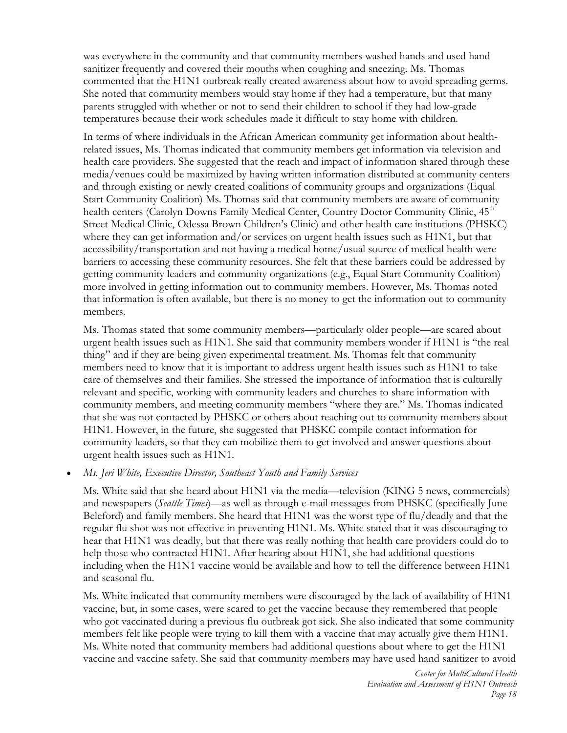was everywhere in the community and that community members washed hands and used hand sanitizer frequently and covered their mouths when coughing and sneezing. Ms. Thomas commented that the H1N1 outbreak really created awareness about how to avoid spreading germs. She noted that community members would stay home if they had a temperature, but that many parents struggled with whether or not to send their children to school if they had low-grade temperatures because their work schedules made it difficult to stay home with children.

In terms of where individuals in the African American community get information about healthrelated issues, Ms. Thomas indicated that community members get information via television and health care providers. She suggested that the reach and impact of information shared through these media/venues could be maximized by having written information distributed at community centers and through existing or newly created coalitions of community groups and organizations (Equal Start Community Coalition) Ms. Thomas said that community members are aware of community health centers (Carolyn Downs Family Medical Center, Country Doctor Community Clinic, 45<sup>th</sup> Street Medical Clinic, Odessa Brown Children's Clinic) and other health care institutions (PHSKC) where they can get information and/or services on urgent health issues such as H1N1, but that accessibility/transportation and not having a medical home/usual source of medical health were barriers to accessing these community resources. She felt that these barriers could be addressed by getting community leaders and community organizations (e.g., Equal Start Community Coalition) more involved in getting information out to community members. However, Ms. Thomas noted that information is often available, but there is no money to get the information out to community members.

Ms. Thomas stated that some community members—particularly older people—are scared about urgent health issues such as H1N1. She said that community members wonder if H1N1 is "the real thing" and if they are being given experimental treatment. Ms. Thomas felt that community members need to know that it is important to address urgent health issues such as H1N1 to take care of themselves and their families. She stressed the importance of information that is culturally relevant and specific, working with community leaders and churches to share information with community members, and meeting community members "where they are." Ms. Thomas indicated that she was not contacted by PHSKC or others about reaching out to community members about H1N1. However, in the future, she suggested that PHSKC compile contact information for community leaders, so that they can mobilize them to get involved and answer questions about urgent health issues such as H1N1.

*Ms. Jeri White, Executive Director, Southeast Youth and Family Services* 

Ms. White said that she heard about H1N1 via the media—television (KING 5 news, commercials) and newspapers (*Seattle Times*)—as well as through e-mail messages from PHSKC (specifically June Beleford) and family members. She heard that H1N1 was the worst type of flu/deadly and that the regular flu shot was not effective in preventing H1N1. Ms. White stated that it was discouraging to hear that H1N1 was deadly, but that there was really nothing that health care providers could do to help those who contracted H1N1. After hearing about H1N1, she had additional questions including when the H1N1 vaccine would be available and how to tell the difference between H1N1 and seasonal flu.

Ms. White indicated that community members were discouraged by the lack of availability of H1N1 vaccine, but, in some cases, were scared to get the vaccine because they remembered that people who got vaccinated during a previous flu outbreak got sick. She also indicated that some community members felt like people were trying to kill them with a vaccine that may actually give them H1N1. Ms. White noted that community members had additional questions about where to get the H1N1 vaccine and vaccine safety. She said that community members may have used hand sanitizer to avoid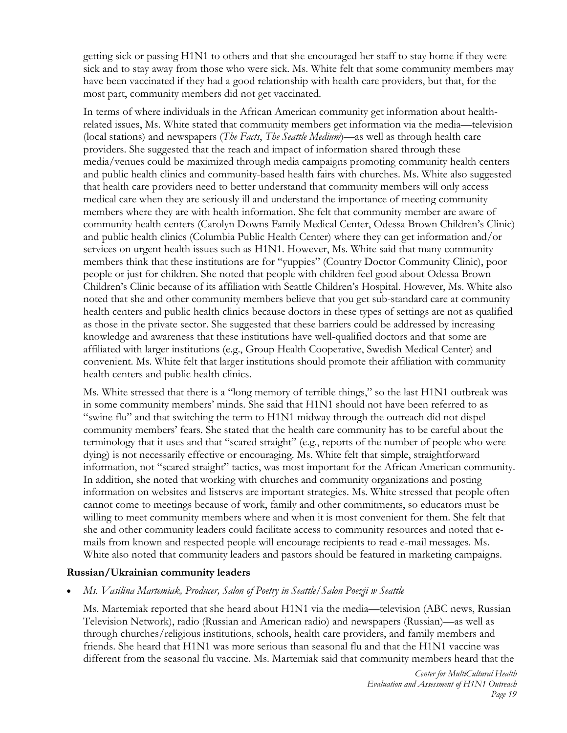getting sick or passing H1N1 to others and that she encouraged her staff to stay home if they were sick and to stay away from those who were sick. Ms. White felt that some community members may have been vaccinated if they had a good relationship with health care providers, but that, for the most part, community members did not get vaccinated.

In terms of where individuals in the African American community get information about healthrelated issues, Ms. White stated that community members get information via the media—television (local stations) and newspapers (*The Facts*, *The Seattle Medium*)—as well as through health care providers. She suggested that the reach and impact of information shared through these media/venues could be maximized through media campaigns promoting community health centers and public health clinics and community-based health fairs with churches. Ms. White also suggested that health care providers need to better understand that community members will only access medical care when they are seriously ill and understand the importance of meeting community members where they are with health information. She felt that community member are aware of community health centers (Carolyn Downs Family Medical Center, Odessa Brown Children's Clinic) and public health clinics (Columbia Public Health Center) where they can get information and/or services on urgent health issues such as H1N1. However, Ms. White said that many community members think that these institutions are for "yuppies" (Country Doctor Community Clinic), poor people or just for children. She noted that people with children feel good about Odessa Brown Children's Clinic because of its affiliation with Seattle Children's Hospital. However, Ms. White also noted that she and other community members believe that you get sub-standard care at community health centers and public health clinics because doctors in these types of settings are not as qualified as those in the private sector. She suggested that these barriers could be addressed by increasing knowledge and awareness that these institutions have well-qualified doctors and that some are affiliated with larger institutions (e.g., Group Health Cooperative, Swedish Medical Center) and convenient. Ms. White felt that larger institutions should promote their affiliation with community health centers and public health clinics.

Ms. White stressed that there is a "long memory of terrible things," so the last H1N1 outbreak was in some community members' minds. She said that H1N1 should not have been referred to as "swine flu" and that switching the term to H1N1 midway through the outreach did not dispel community members' fears. She stated that the health care community has to be careful about the terminology that it uses and that "scared straight" (e.g., reports of the number of people who were dying) is not necessarily effective or encouraging. Ms. White felt that simple, straightforward information, not "scared straight" tactics, was most important for the African American community. In addition, she noted that working with churches and community organizations and posting information on websites and listservs are important strategies. Ms. White stressed that people often cannot come to meetings because of work, family and other commitments, so educators must be willing to meet community members where and when it is most convenient for them. She felt that she and other community leaders could facilitate access to community resources and noted that emails from known and respected people will encourage recipients to read e-mail messages. Ms. White also noted that community leaders and pastors should be featured in marketing campaigns.

#### **Russian/Ukrainian community leaders**

*Ms. Vasilina Martemiak, Producer, Salon of Poetry in Seattle/Salon Poezji w Seattle*

Ms. Martemiak reported that she heard about H1N1 via the media—television (ABC news, Russian Television Network), radio (Russian and American radio) and newspapers (Russian)—as well as through churches/religious institutions, schools, health care providers, and family members and friends. She heard that H1N1 was more serious than seasonal flu and that the H1N1 vaccine was different from the seasonal flu vaccine. Ms. Martemiak said that community members heard that the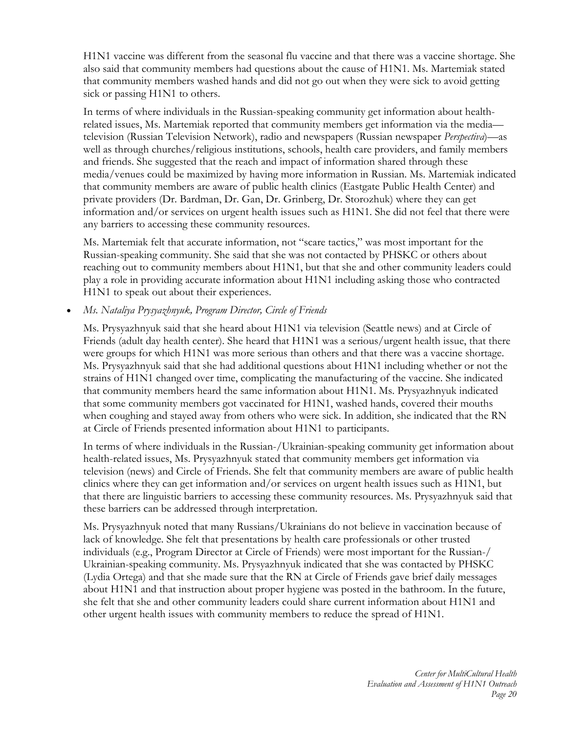H1N1 vaccine was different from the seasonal flu vaccine and that there was a vaccine shortage. She also said that community members had questions about the cause of H1N1. Ms. Martemiak stated that community members washed hands and did not go out when they were sick to avoid getting sick or passing H1N1 to others.

In terms of where individuals in the Russian-speaking community get information about healthrelated issues, Ms. Martemiak reported that community members get information via the media television (Russian Television Network), radio and newspapers (Russian newspaper *Perspectiva*)—as well as through churches/religious institutions, schools, health care providers, and family members and friends. She suggested that the reach and impact of information shared through these media/venues could be maximized by having more information in Russian. Ms. Martemiak indicated that community members are aware of public health clinics (Eastgate Public Health Center) and private providers (Dr. Bardman, Dr. Gan, Dr. Grinberg, Dr. Storozhuk) where they can get information and/or services on urgent health issues such as H1N1. She did not feel that there were any barriers to accessing these community resources.

Ms. Martemiak felt that accurate information, not "scare tactics," was most important for the Russian-speaking community. She said that she was not contacted by PHSKC or others about reaching out to community members about H1N1, but that she and other community leaders could play a role in providing accurate information about H1N1 including asking those who contracted H1N1 to speak out about their experiences.

## *Ms. Nataliya Prysyazhnyuk, Program Director, Circle of Friends*

Ms. Prysyazhnyuk said that she heard about H1N1 via television (Seattle news) and at Circle of Friends (adult day health center). She heard that H1N1 was a serious/urgent health issue, that there were groups for which H1N1 was more serious than others and that there was a vaccine shortage. Ms. Prysyazhnyuk said that she had additional questions about H1N1 including whether or not the strains of H1N1 changed over time, complicating the manufacturing of the vaccine. She indicated that community members heard the same information about H1N1. Ms. Prysyazhnyuk indicated that some community members got vaccinated for H1N1, washed hands, covered their mouths when coughing and stayed away from others who were sick. In addition, she indicated that the RN at Circle of Friends presented information about H1N1 to participants.

In terms of where individuals in the Russian-/Ukrainian-speaking community get information about health-related issues, Ms. Prysyazhnyuk stated that community members get information via television (news) and Circle of Friends. She felt that community members are aware of public health clinics where they can get information and/or services on urgent health issues such as H1N1, but that there are linguistic barriers to accessing these community resources. Ms. Prysyazhnyuk said that these barriers can be addressed through interpretation.

Ms. Prysyazhnyuk noted that many Russians/Ukrainians do not believe in vaccination because of lack of knowledge. She felt that presentations by health care professionals or other trusted individuals (e.g., Program Director at Circle of Friends) were most important for the Russian-/ Ukrainian-speaking community. Ms. Prysyazhnyuk indicated that she was contacted by PHSKC (Lydia Ortega) and that she made sure that the RN at Circle of Friends gave brief daily messages about H1N1 and that instruction about proper hygiene was posted in the bathroom. In the future, she felt that she and other community leaders could share current information about H1N1 and other urgent health issues with community members to reduce the spread of H1N1.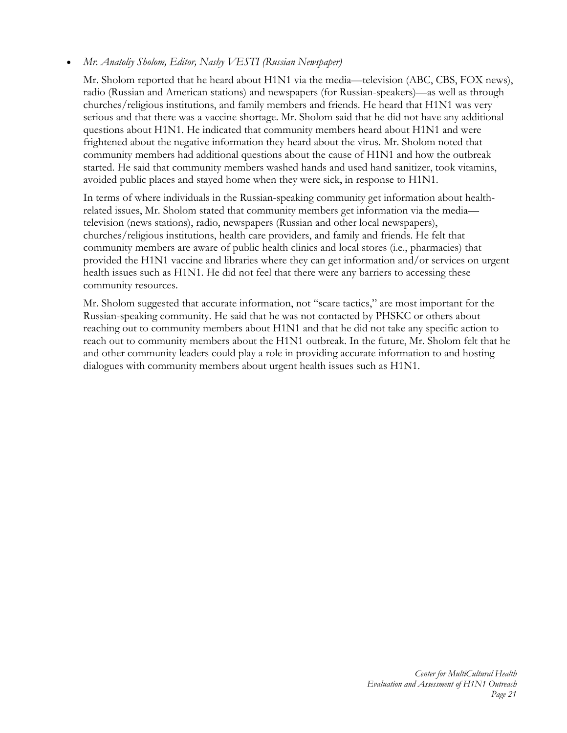## *Mr. Anatoliy Sholom, Editor, Nashy VESTI (Russian Newspaper)*

Mr. Sholom reported that he heard about H1N1 via the media—television (ABC, CBS, FOX news), radio (Russian and American stations) and newspapers (for Russian-speakers)—as well as through churches/religious institutions, and family members and friends. He heard that H1N1 was very serious and that there was a vaccine shortage. Mr. Sholom said that he did not have any additional questions about H1N1. He indicated that community members heard about H1N1 and were frightened about the negative information they heard about the virus. Mr. Sholom noted that community members had additional questions about the cause of H1N1 and how the outbreak started. He said that community members washed hands and used hand sanitizer, took vitamins, avoided public places and stayed home when they were sick, in response to H1N1.

In terms of where individuals in the Russian-speaking community get information about healthrelated issues, Mr. Sholom stated that community members get information via the media television (news stations), radio, newspapers (Russian and other local newspapers), churches/religious institutions, health care providers, and family and friends. He felt that community members are aware of public health clinics and local stores (i.e., pharmacies) that provided the H1N1 vaccine and libraries where they can get information and/or services on urgent health issues such as H1N1. He did not feel that there were any barriers to accessing these community resources.

Mr. Sholom suggested that accurate information, not "scare tactics," are most important for the Russian-speaking community. He said that he was not contacted by PHSKC or others about reaching out to community members about H1N1 and that he did not take any specific action to reach out to community members about the H1N1 outbreak. In the future, Mr. Sholom felt that he and other community leaders could play a role in providing accurate information to and hosting dialogues with community members about urgent health issues such as H1N1.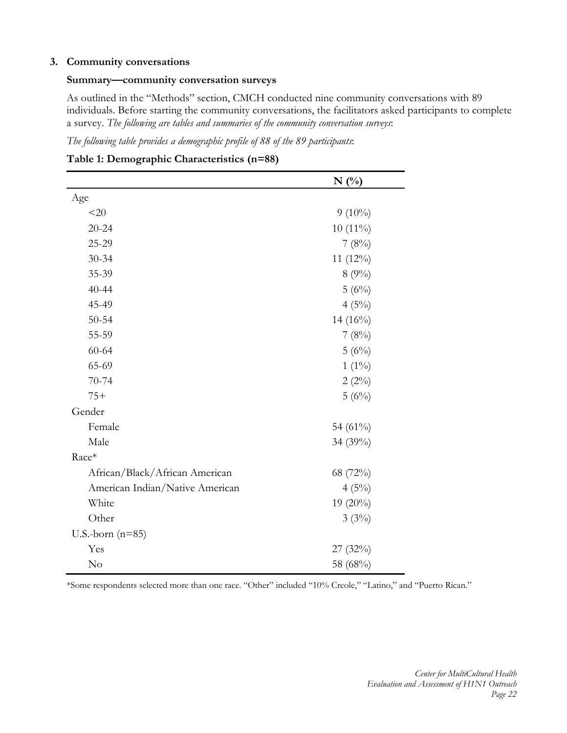#### **3. Community conversations**

#### **Summary—community conversation surveys**

As outlined in the "Methods" section, CMCH conducted nine community conversations with 89 individuals. Before starting the community conversations, the facilitators asked participants to complete a survey. *The following are tables and summaries of the community conversation surveys*:

*The following table provides a demographic profile of 88 of the 89 participants*:

|                                 | $N($ %)     |
|---------------------------------|-------------|
| Age                             |             |
| <20                             | $9(10\%)$   |
| $20 - 24$                       | $10(11\%)$  |
| 25-29                           | 7(8%)       |
| $30 - 34$                       | 11 (12%)    |
| 35-39                           | 8(9%)       |
| $40 - 44$                       | 5(6%)       |
| 45-49                           | 4(5%)       |
| $50 - 54$                       | 14 $(16\%)$ |
| 55-59                           | 7(8%)       |
| $60 - 64$                       | 5(6%)       |
| 65-69                           | $1(1\%)$    |
| $70 - 74$                       | $2(2\%)$    |
| $75+$                           | 5(6%)       |
| Gender                          |             |
| Female                          | 54 (61%)    |
| Male                            | 34 (39%)    |
| Race*                           |             |
| African/Black/African American  | 68 (72%)    |
| American Indian/Native American | 4(5%)       |
| White                           | 19 (20%)    |
| Other                           | 3(3%)       |
| U.S.-born $(n=85)$              |             |
| Yes                             | 27(32%)     |
| No                              | 58 (68%)    |

**Table 1: Demographic Characteristics (n=88)** 

\*Some respondents selected more than one race. "Other" included "10% Creole," "Latino," and "Puerto Rican."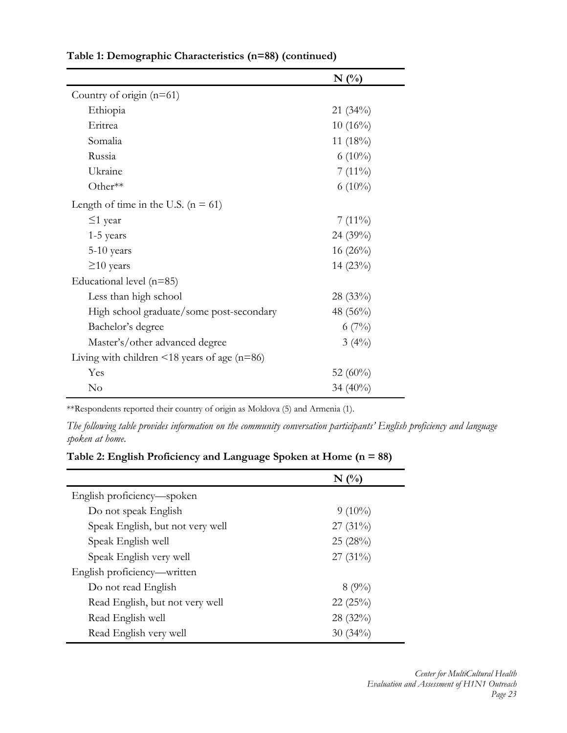|                                                    | N(%         |
|----------------------------------------------------|-------------|
| Country of origin $(n=61)$                         |             |
| Ethiopia                                           | $21(34\%)$  |
| Eritrea                                            | $10(16\%)$  |
| Somalia                                            | 11 $(18\%)$ |
| Russia                                             | $6(10\%)$   |
| Ukraine                                            | $7(11\%)$   |
| Other**                                            | $6(10\%)$   |
| Length of time in the U.S. $(n = 61)$              |             |
| $\leq$ 1 year                                      | $7(11\%)$   |
| $1-5$ years                                        | 24 (39%)    |
| 5-10 years                                         | $16(26\%)$  |
| $\geq$ 10 years                                    | $14(23\%)$  |
| Educational level $(n=85)$                         |             |
| Less than high school                              | $28(33\%)$  |
| High school graduate/some post-secondary           | 48 (56%)    |
| Bachelor's degree                                  | 6(7%)       |
| Master's/other advanced degree                     | 3(4%)       |
| Living with children $\leq$ 18 years of age (n=86) |             |
| Yes                                                | 52 $(60\%)$ |
| No                                                 | 34 $(40\%)$ |

**Table 1: Demographic Characteristics (n=88) (continued)**

\*\*Respondents reported their country of origin as Moldova (5) and Armenia (1).

*The following table provides information on the community conversation participants' English proficiency and language spoken at home*.

| Table 2: English Proficiency and Language Spoken at Home (n = 88) |  |  |  |
|-------------------------------------------------------------------|--|--|--|
|                                                                   |  |  |  |

|                                  | $N($ %)    |
|----------------------------------|------------|
| English proficiency—spoken       |            |
| Do not speak English             | $9(10\%)$  |
| Speak English, but not very well | $27(31\%)$ |
| Speak English well               | 25(28%)    |
| Speak English very well          | $27(31\%)$ |
| English proficiency—written      |            |
| Do not read English              | 8(9%)      |
| Read English, but not very well  | 22(25%)    |
| Read English well                | $28(32\%)$ |
| Read English very well           | $30(34\%)$ |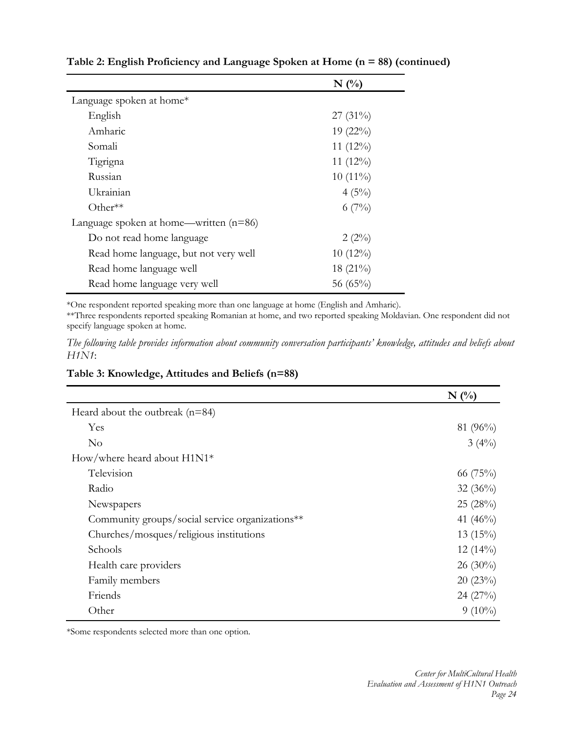|                                          | $N(\%)$     |
|------------------------------------------|-------------|
| Language spoken at home*                 |             |
| English                                  | $27(31\%)$  |
| Amharic                                  | $19(22\%)$  |
| Somali                                   | 11 $(12\%)$ |
| Tigrigna                                 | 11 $(12\%)$ |
| Russian                                  | $10(11\%)$  |
| Ukrainian                                | $4(5\%)$    |
| Other $**$                               | $6(7\%)$    |
| Language spoken at home—written $(n=86)$ |             |
| Do not read home language                | $2(2\%)$    |
| Read home language, but not very well    | $10(12\%)$  |
| Read home language well                  | $18(21\%)$  |
| Read home language very well             | 56 $(65\%)$ |

**Table 2: English Proficiency and Language Spoken at Home (n = 88) (continued)** 

\*One respondent reported speaking more than one language at home (English and Amharic).

\*\*Three respondents reported speaking Romanian at home, and two reported speaking Moldavian. One respondent did not specify language spoken at home.

*The following table provides information about community conversation participants' knowledge, attitudes and beliefs about H1N1*:

**Table 3: Knowledge, Attitudes and Beliefs (n=88)** 

|                                                 | $N(\%)$     |
|-------------------------------------------------|-------------|
| Heard about the outbreak $(n=84)$               |             |
| Yes                                             | 81 (96%)    |
| $\rm No$                                        | $3(4\%)$    |
| How/where heard about $H1N1*$                   |             |
| Television                                      | 66 $(75%)$  |
| Radio                                           | $32(36\%)$  |
| Newspapers                                      | 25(28%)     |
| Community groups/social service organizations** | 41 $(46\%)$ |
| Churches/mosques/religious institutions         | 13(15%)     |
| Schools                                         | $12(14\%)$  |
| Health care providers                           | $26(30\%)$  |
| Family members                                  | 20(23%)     |
| Friends                                         | 24(27%)     |
| Other                                           | $9(10\%)$   |

\*Some respondents selected more than one option.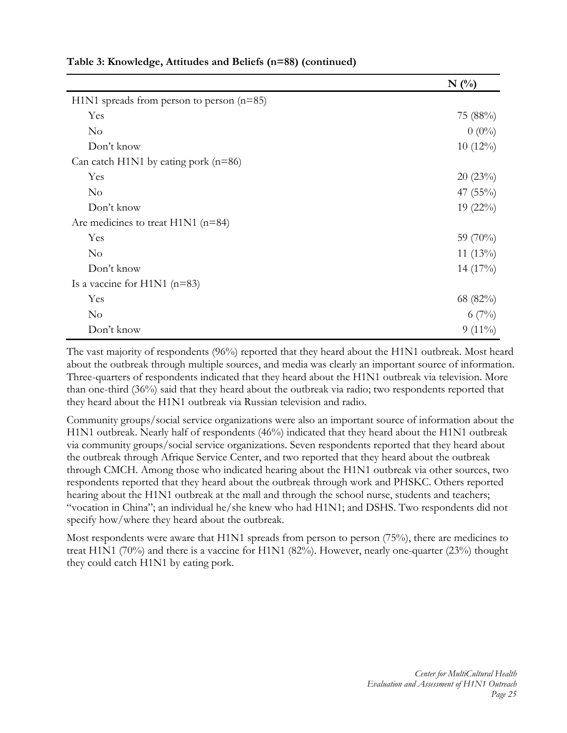|                                             | $N(\%)$     |
|---------------------------------------------|-------------|
| $H1N1$ spreads from person to person (n=85) |             |
| Yes                                         | 75 (88%)    |
| $\rm No$                                    | $0(0\%)$    |
| Don't know                                  | $10(12\%)$  |
| Can catch H1N1 by eating pork $(n=86)$      |             |
| Yes                                         | 20(23%)     |
| $\rm No$                                    | 47 $(55\%)$ |
| Don't know                                  | $19(22\%)$  |
| Are medicines to treat $H1N1$ (n=84)        |             |
| Yes                                         | 59 (70%)    |
| N <sub>o</sub>                              | 11 $(13\%)$ |
| Don't know                                  | 14 $(17\%)$ |
| Is a vaccine for H1N1 $(n=83)$              |             |
| Yes                                         | 68 (82%)    |
| $\rm No$                                    | $6(7\%)$    |
| Don't know                                  | $9(11\%)$   |

**Table 3: Knowledge, Attitudes and Beliefs (n=88) (continued)** 

The vast majority of respondents (96%) reported that they heard about the H1N1 outbreak. Most heard about the outbreak through multiple sources, and media was clearly an important source of information. Three-quarters of respondents indicated that they heard about the H1N1 outbreak via television. More than one-third (36%) said that they heard about the outbreak via radio; two respondents reported that they heard about the H1N1 outbreak via Russian television and radio.

Community groups/social service organizations were also an important source of information about the H1N1 outbreak. Nearly half of respondents (46%) indicated that they heard about the H1N1 outbreak via community groups/social service organizations. Seven respondents reported that they heard about the outbreak through Afrique Service Center, and two reported that they heard about the outbreak through CMCH. Among those who indicated hearing about the H1N1 outbreak via other sources, two respondents reported that they heard about the outbreak through work and PHSKC. Others reported hearing about the H1N1 outbreak at the mall and through the school nurse, students and teachers; "vocation in China"; an individual he/she knew who had H1N1; and DSHS. Two respondents did not specify how/where they heard about the outbreak.

Most respondents were aware that H1N1 spreads from person to person (75%), there are medicines to treat H1N1 (70%) and there is a vaccine for H1N1 (82%). However, nearly one-quarter (23%) thought they could catch H1N1 by eating pork.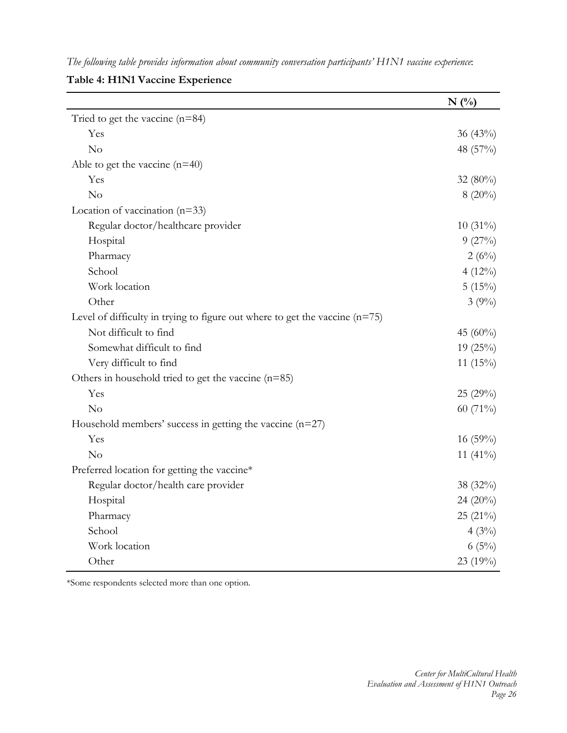*The following table provides information about community conversation participants' H1N1 vaccine experience*:

**Table 4: H1N1 Vaccine Experience** 

|                                                                               | $N($ %)     |
|-------------------------------------------------------------------------------|-------------|
| Tried to get the vaccine $(n=84)$                                             |             |
| Yes                                                                           | $36(43\%)$  |
| N <sub>o</sub>                                                                | 48 $(57%)$  |
| Able to get the vaccine $(n=40)$                                              |             |
| Yes                                                                           | 32 $(80\%)$ |
| No                                                                            | $8(20\%)$   |
| Location of vaccination $(n=33)$                                              |             |
| Regular doctor/healthcare provider                                            | $10(31\%)$  |
| Hospital                                                                      | 9(27%)      |
| Pharmacy                                                                      | 2(6%)       |
| School                                                                        | $4(12\%)$   |
| Work location                                                                 | 5(15%)      |
| Other                                                                         | 3(9%)       |
| Level of difficulty in trying to figure out where to get the vaccine $(n=75)$ |             |
| Not difficult to find                                                         | 45 (60%)    |
| Somewhat difficult to find                                                    | 19 (25%)    |
| Very difficult to find                                                        | 11 $(15\%)$ |
| Others in household tried to get the vaccine $(n=85)$                         |             |
| Yes                                                                           | 25(29%)     |
| No                                                                            | 60 (71%)    |
| Household members' success in getting the vaccine $(n=27)$                    |             |
| Yes                                                                           | $16(59\%)$  |
| No                                                                            | 11 $(41\%)$ |
| Preferred location for getting the vaccine*                                   |             |
| Regular doctor/health care provider                                           | 38 $(32\%)$ |
| Hospital                                                                      | 24 (20%)    |
| Pharmacy                                                                      | 25 (21%)    |
| School                                                                        | 4(3%)       |
| Work location                                                                 | 6(5%)       |
| Other                                                                         | 23 (19%)    |

\*Some respondents selected more than one option.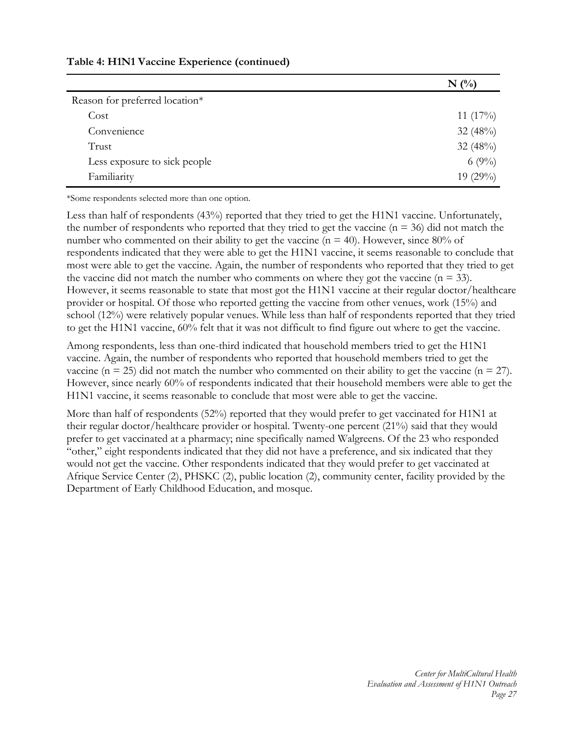|                                | $N(\%)$     |
|--------------------------------|-------------|
| Reason for preferred location* |             |
| Cost                           | 11 $(17\%)$ |
| Convenience                    | 32 $(48%)$  |
| Trust                          | 32 (48%)    |
| Less exposure to sick people   | 6 $(9\%)$   |
| Familiarity                    | 19 $(29\%)$ |

\*Some respondents selected more than one option.

Less than half of respondents (43%) reported that they tried to get the H1N1 vaccine. Unfortunately, the number of respondents who reported that they tried to get the vaccine ( $n = 36$ ) did not match the number who commented on their ability to get the vaccine ( $n = 40$ ). However, since 80% of respondents indicated that they were able to get the H1N1 vaccine, it seems reasonable to conclude that most were able to get the vaccine. Again, the number of respondents who reported that they tried to get the vaccine did not match the number who comments on where they got the vaccine ( $n = 33$ ). However, it seems reasonable to state that most got the H1N1 vaccine at their regular doctor/healthcare provider or hospital. Of those who reported getting the vaccine from other venues, work (15%) and school (12%) were relatively popular venues. While less than half of respondents reported that they tried to get the H1N1 vaccine, 60% felt that it was not difficult to find figure out where to get the vaccine.

Among respondents, less than one-third indicated that household members tried to get the H1N1 vaccine. Again, the number of respondents who reported that household members tried to get the vaccine ( $n = 25$ ) did not match the number who commented on their ability to get the vaccine ( $n = 27$ ). However, since nearly 60% of respondents indicated that their household members were able to get the H1N1 vaccine, it seems reasonable to conclude that most were able to get the vaccine.

More than half of respondents (52%) reported that they would prefer to get vaccinated for H1N1 at their regular doctor/healthcare provider or hospital. Twenty-one percent (21%) said that they would prefer to get vaccinated at a pharmacy; nine specifically named Walgreens. Of the 23 who responded "other," eight respondents indicated that they did not have a preference, and six indicated that they would not get the vaccine. Other respondents indicated that they would prefer to get vaccinated at Afrique Service Center (2), PHSKC (2), public location (2), community center, facility provided by the Department of Early Childhood Education, and mosque.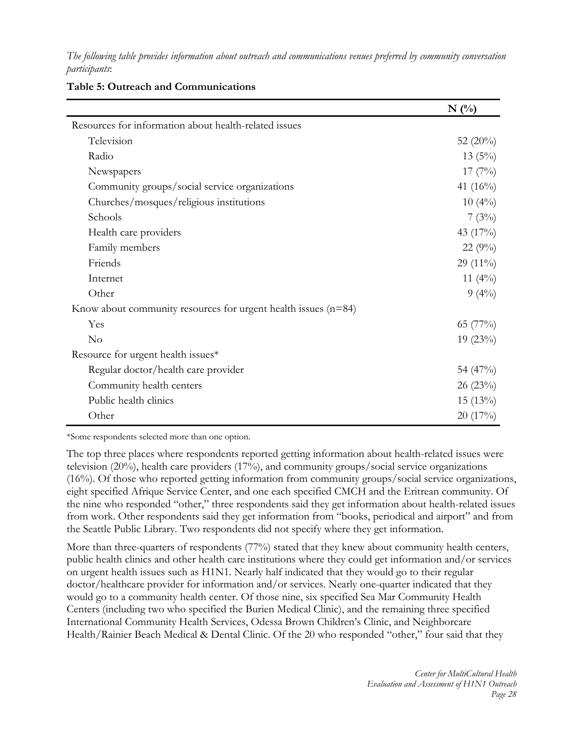*The following table provides information about outreach and communications venues preferred by community conversation participants*:

|                                                                  | $N($ %)     |
|------------------------------------------------------------------|-------------|
| Resources for information about health-related issues            |             |
| Television                                                       | 52 $(20\%)$ |
| Radio                                                            | $13(5\%)$   |
| Newspapers                                                       | $17(7\%)$   |
| Community groups/social service organizations                    | 41 (16%)    |
| Churches/mosques/religious institutions                          | $10(4\%)$   |
| Schools                                                          | 7(3%)       |
| Health care providers                                            | 43 (17%)    |
| Family members                                                   | $22(9\%)$   |
| Friends                                                          | 29 $(11\%)$ |
| Internet                                                         | 11 $(4\%)$  |
| Other                                                            | $9(4\%)$    |
| Know about community resources for urgent health issues $(n=84)$ |             |
| Yes                                                              | 65 $(77\%)$ |
| No                                                               | $19(23\%)$  |
| Resource for urgent health issues*                               |             |
| Regular doctor/health care provider                              | 54 $(47\%)$ |
| Community health centers                                         | 26(23%)     |
| Public health clinics                                            | $15(13\%)$  |
| Other                                                            | 20(17%)     |

#### **Table 5: Outreach and Communications**

\*Some respondents selected more than one option.

The top three places where respondents reported getting information about health-related issues were television (20%), health care providers (17%), and community groups/social service organizations (16%). Of those who reported getting information from community groups/social service organizations, eight specified Afrique Service Center, and one each specified CMCH and the Eritrean community. Of the nine who responded "other," three respondents said they get information about health-related issues from work. Other respondents said they get information from "books, periodical and airport" and from the Seattle Public Library. Two respondents did not specify where they get information.

More than three-quarters of respondents (77%) stated that they knew about community health centers, public health clinics and other health care institutions where they could get information and/or services on urgent health issues such as H1N1. Nearly half indicated that they would go to their regular doctor/healthcare provider for information and/or services. Nearly one-quarter indicated that they would go to a community health center. Of those nine, six specified Sea Mar Community Health Centers (including two who specified the Burien Medical Clinic), and the remaining three specified International Community Health Services, Odessa Brown Children's Clinic, and Neighborcare Health/Rainier Beach Medical & Dental Clinic. Of the 20 who responded "other," four said that they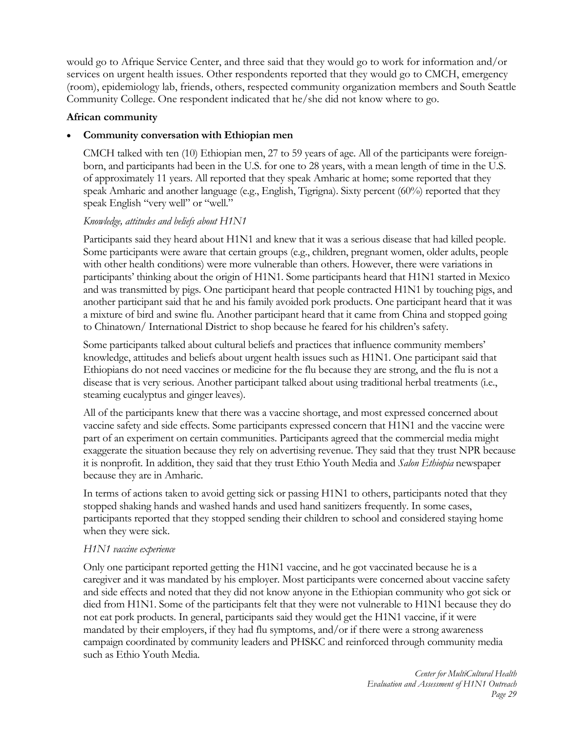would go to Afrique Service Center, and three said that they would go to work for information and/or services on urgent health issues. Other respondents reported that they would go to CMCH, emergency (room), epidemiology lab, friends, others, respected community organization members and South Seattle Community College. One respondent indicated that he/she did not know where to go.

#### **African community**

## **Community conversation with Ethiopian men**

CMCH talked with ten (10) Ethiopian men, 27 to 59 years of age. All of the participants were foreignborn, and participants had been in the U.S. for one to 28 years, with a mean length of time in the U.S. of approximately 11 years. All reported that they speak Amharic at home; some reported that they speak Amharic and another language (e.g., English, Tigrigna). Sixty percent  $(60\%)$  reported that they speak English "very well" or "well."

# *Knowledge, attitudes and beliefs about H1N1*

Participants said they heard about H1N1 and knew that it was a serious disease that had killed people. Some participants were aware that certain groups (e.g., children, pregnant women, older adults, people with other health conditions) were more vulnerable than others. However, there were variations in participants' thinking about the origin of H1N1. Some participants heard that H1N1 started in Mexico and was transmitted by pigs. One participant heard that people contracted H1N1 by touching pigs, and another participant said that he and his family avoided pork products. One participant heard that it was a mixture of bird and swine flu. Another participant heard that it came from China and stopped going to Chinatown/ International District to shop because he feared for his children's safety.

Some participants talked about cultural beliefs and practices that influence community members' knowledge, attitudes and beliefs about urgent health issues such as H1N1. One participant said that Ethiopians do not need vaccines or medicine for the flu because they are strong, and the flu is not a disease that is very serious. Another participant talked about using traditional herbal treatments (i.e., steaming eucalyptus and ginger leaves).

All of the participants knew that there was a vaccine shortage, and most expressed concerned about vaccine safety and side effects. Some participants expressed concern that H1N1 and the vaccine were part of an experiment on certain communities. Participants agreed that the commercial media might exaggerate the situation because they rely on advertising revenue. They said that they trust NPR because it is nonprofit. In addition, they said that they trust Ethio Youth Media and *Salon Ethiopia* newspaper because they are in Amharic.

In terms of actions taken to avoid getting sick or passing H1N1 to others, participants noted that they stopped shaking hands and washed hands and used hand sanitizers frequently. In some cases, participants reported that they stopped sending their children to school and considered staying home when they were sick.

# *H1N1 vaccine experience*

Only one participant reported getting the H1N1 vaccine, and he got vaccinated because he is a caregiver and it was mandated by his employer. Most participants were concerned about vaccine safety and side effects and noted that they did not know anyone in the Ethiopian community who got sick or died from H1N1. Some of the participants felt that they were not vulnerable to H1N1 because they do not eat pork products. In general, participants said they would get the H1N1 vaccine, if it were mandated by their employers, if they had flu symptoms, and/or if there were a strong awareness campaign coordinated by community leaders and PHSKC and reinforced through community media such as Ethio Youth Media.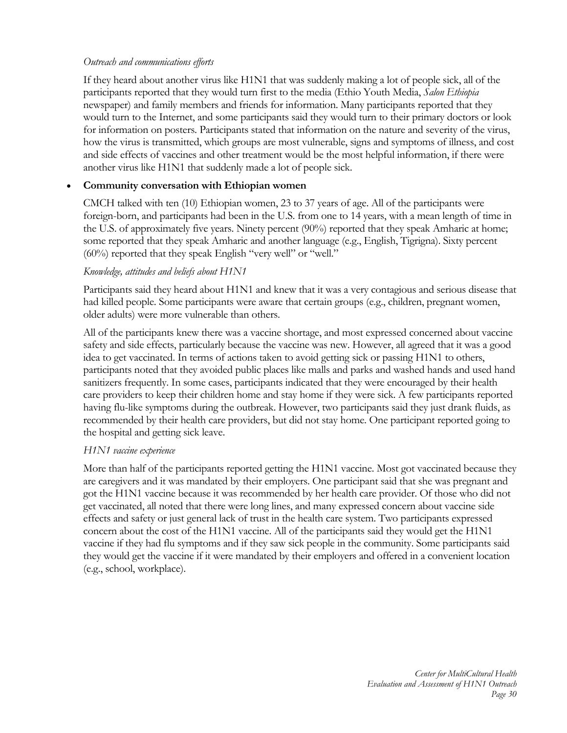## *Outreach and communications efforts*

If they heard about another virus like H1N1 that was suddenly making a lot of people sick, all of the participants reported that they would turn first to the media (Ethio Youth Media, *Salon Ethiopia* newspaper) and family members and friends for information. Many participants reported that they would turn to the Internet, and some participants said they would turn to their primary doctors or look for information on posters. Participants stated that information on the nature and severity of the virus, how the virus is transmitted, which groups are most vulnerable, signs and symptoms of illness, and cost and side effects of vaccines and other treatment would be the most helpful information, if there were another virus like H1N1 that suddenly made a lot of people sick.

## **Community conversation with Ethiopian women**

CMCH talked with ten (10) Ethiopian women, 23 to 37 years of age. All of the participants were foreign-born, and participants had been in the U.S. from one to 14 years, with a mean length of time in the U.S. of approximately five years. Ninety percent (90%) reported that they speak Amharic at home; some reported that they speak Amharic and another language (e.g., English, Tigrigna). Sixty percent (60%) reported that they speak English "very well" or "well."

## *Knowledge, attitudes and beliefs about H1N1*

Participants said they heard about H1N1 and knew that it was a very contagious and serious disease that had killed people. Some participants were aware that certain groups (e.g., children, pregnant women, older adults) were more vulnerable than others.

All of the participants knew there was a vaccine shortage, and most expressed concerned about vaccine safety and side effects, particularly because the vaccine was new. However, all agreed that it was a good idea to get vaccinated. In terms of actions taken to avoid getting sick or passing H1N1 to others, participants noted that they avoided public places like malls and parks and washed hands and used hand sanitizers frequently. In some cases, participants indicated that they were encouraged by their health care providers to keep their children home and stay home if they were sick. A few participants reported having flu-like symptoms during the outbreak. However, two participants said they just drank fluids, as recommended by their health care providers, but did not stay home. One participant reported going to the hospital and getting sick leave.

#### *H1N1 vaccine experience*

More than half of the participants reported getting the H1N1 vaccine. Most got vaccinated because they are caregivers and it was mandated by their employers. One participant said that she was pregnant and got the H1N1 vaccine because it was recommended by her health care provider. Of those who did not get vaccinated, all noted that there were long lines, and many expressed concern about vaccine side effects and safety or just general lack of trust in the health care system. Two participants expressed concern about the cost of the H1N1 vaccine. All of the participants said they would get the H1N1 vaccine if they had flu symptoms and if they saw sick people in the community. Some participants said they would get the vaccine if it were mandated by their employers and offered in a convenient location (e.g., school, workplace).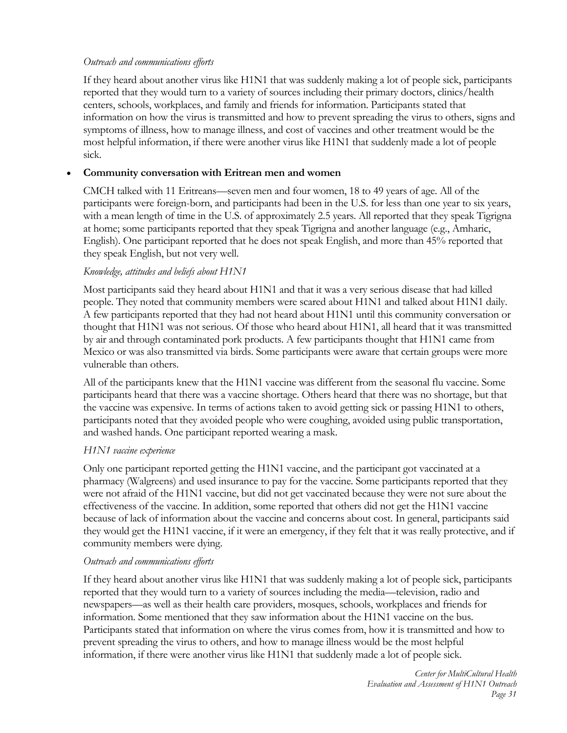# *Outreach and communications efforts*

If they heard about another virus like H1N1 that was suddenly making a lot of people sick, participants reported that they would turn to a variety of sources including their primary doctors, clinics/health centers, schools, workplaces, and family and friends for information. Participants stated that information on how the virus is transmitted and how to prevent spreading the virus to others, signs and symptoms of illness, how to manage illness, and cost of vaccines and other treatment would be the most helpful information, if there were another virus like H1N1 that suddenly made a lot of people sick.

## **Community conversation with Eritrean men and women**

CMCH talked with 11 Eritreans—seven men and four women, 18 to 49 years of age. All of the participants were foreign-born, and participants had been in the U.S. for less than one year to six years, with a mean length of time in the U.S. of approximately 2.5 years. All reported that they speak Tigrigna at home; some participants reported that they speak Tigrigna and another language (e.g., Amharic, English). One participant reported that he does not speak English, and more than 45% reported that they speak English, but not very well.

## *Knowledge, attitudes and beliefs about H1N1*

Most participants said they heard about H1N1 and that it was a very serious disease that had killed people. They noted that community members were scared about H1N1 and talked about H1N1 daily. A few participants reported that they had not heard about H1N1 until this community conversation or thought that H1N1 was not serious. Of those who heard about H1N1, all heard that it was transmitted by air and through contaminated pork products. A few participants thought that H1N1 came from Mexico or was also transmitted via birds. Some participants were aware that certain groups were more vulnerable than others.

All of the participants knew that the H1N1 vaccine was different from the seasonal flu vaccine. Some participants heard that there was a vaccine shortage. Others heard that there was no shortage, but that the vaccine was expensive. In terms of actions taken to avoid getting sick or passing H1N1 to others, participants noted that they avoided people who were coughing, avoided using public transportation, and washed hands. One participant reported wearing a mask.

#### *H1N1 vaccine experience*

Only one participant reported getting the H1N1 vaccine, and the participant got vaccinated at a pharmacy (Walgreens) and used insurance to pay for the vaccine. Some participants reported that they were not afraid of the H1N1 vaccine, but did not get vaccinated because they were not sure about the effectiveness of the vaccine. In addition, some reported that others did not get the H1N1 vaccine because of lack of information about the vaccine and concerns about cost. In general, participants said they would get the H1N1 vaccine, if it were an emergency, if they felt that it was really protective, and if community members were dying.

#### *Outreach and communications efforts*

If they heard about another virus like H1N1 that was suddenly making a lot of people sick, participants reported that they would turn to a variety of sources including the media—television, radio and newspapers—as well as their health care providers, mosques, schools, workplaces and friends for information. Some mentioned that they saw information about the H1N1 vaccine on the bus. Participants stated that information on where the virus comes from, how it is transmitted and how to prevent spreading the virus to others, and how to manage illness would be the most helpful information, if there were another virus like H1N1 that suddenly made a lot of people sick.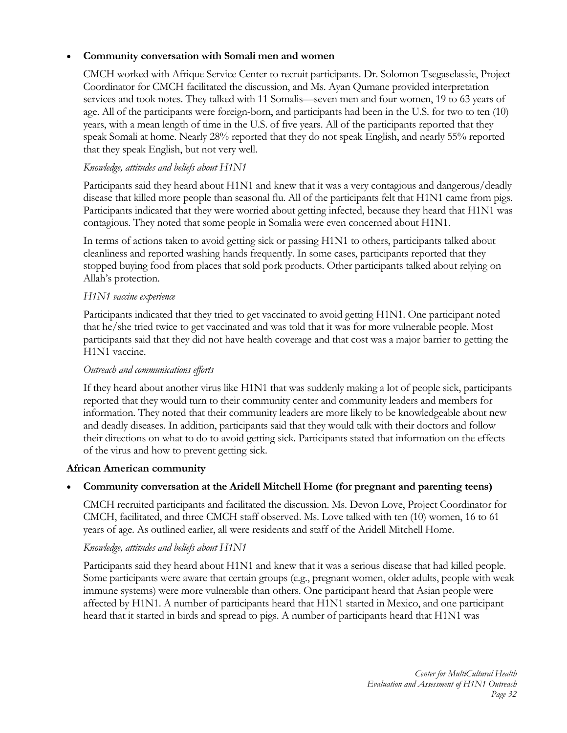# **Community conversation with Somali men and women**

CMCH worked with Afrique Service Center to recruit participants. Dr. Solomon Tsegaselassie, Project Coordinator for CMCH facilitated the discussion, and Ms. Ayan Qumane provided interpretation services and took notes. They talked with 11 Somalis—seven men and four women, 19 to 63 years of age. All of the participants were foreign-born, and participants had been in the U.S. for two to ten (10) years, with a mean length of time in the U.S. of five years. All of the participants reported that they speak Somali at home. Nearly 28% reported that they do not speak English, and nearly 55% reported that they speak English, but not very well.

# *Knowledge, attitudes and beliefs about H1N1*

Participants said they heard about H1N1 and knew that it was a very contagious and dangerous/deadly disease that killed more people than seasonal flu. All of the participants felt that H1N1 came from pigs. Participants indicated that they were worried about getting infected, because they heard that H1N1 was contagious. They noted that some people in Somalia were even concerned about H1N1.

In terms of actions taken to avoid getting sick or passing H1N1 to others, participants talked about cleanliness and reported washing hands frequently. In some cases, participants reported that they stopped buying food from places that sold pork products. Other participants talked about relying on Allah's protection.

#### *H1N1 vaccine experience*

Participants indicated that they tried to get vaccinated to avoid getting H1N1. One participant noted that he/she tried twice to get vaccinated and was told that it was for more vulnerable people. Most participants said that they did not have health coverage and that cost was a major barrier to getting the H1N1 vaccine.

#### *Outreach and communications efforts*

If they heard about another virus like H1N1 that was suddenly making a lot of people sick, participants reported that they would turn to their community center and community leaders and members for information. They noted that their community leaders are more likely to be knowledgeable about new and deadly diseases. In addition, participants said that they would talk with their doctors and follow their directions on what to do to avoid getting sick. Participants stated that information on the effects of the virus and how to prevent getting sick.

#### **African American community**

# **Community conversation at the Aridell Mitchell Home (for pregnant and parenting teens)**

CMCH recruited participants and facilitated the discussion. Ms. Devon Love, Project Coordinator for CMCH, facilitated, and three CMCH staff observed. Ms. Love talked with ten (10) women, 16 to 61 years of age. As outlined earlier, all were residents and staff of the Aridell Mitchell Home.

#### *Knowledge, attitudes and beliefs about H1N1*

Participants said they heard about H1N1 and knew that it was a serious disease that had killed people. Some participants were aware that certain groups (e.g., pregnant women, older adults, people with weak immune systems) were more vulnerable than others. One participant heard that Asian people were affected by H1N1. A number of participants heard that H1N1 started in Mexico, and one participant heard that it started in birds and spread to pigs. A number of participants heard that H1N1 was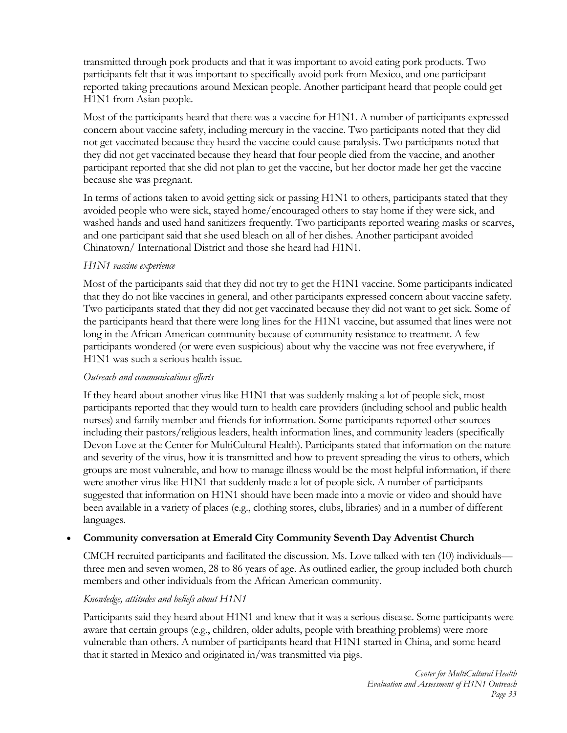transmitted through pork products and that it was important to avoid eating pork products. Two participants felt that it was important to specifically avoid pork from Mexico, and one participant reported taking precautions around Mexican people. Another participant heard that people could get H1N1 from Asian people.

Most of the participants heard that there was a vaccine for H1N1. A number of participants expressed concern about vaccine safety, including mercury in the vaccine. Two participants noted that they did not get vaccinated because they heard the vaccine could cause paralysis. Two participants noted that they did not get vaccinated because they heard that four people died from the vaccine, and another participant reported that she did not plan to get the vaccine, but her doctor made her get the vaccine because she was pregnant.

In terms of actions taken to avoid getting sick or passing H1N1 to others, participants stated that they avoided people who were sick, stayed home/encouraged others to stay home if they were sick, and washed hands and used hand sanitizers frequently. Two participants reported wearing masks or scarves, and one participant said that she used bleach on all of her dishes. Another participant avoided Chinatown/ International District and those she heard had H1N1.

## *H1N1 vaccine experience*

Most of the participants said that they did not try to get the H1N1 vaccine. Some participants indicated that they do not like vaccines in general, and other participants expressed concern about vaccine safety. Two participants stated that they did not get vaccinated because they did not want to get sick. Some of the participants heard that there were long lines for the H1N1 vaccine, but assumed that lines were not long in the African American community because of community resistance to treatment. A few participants wondered (or were even suspicious) about why the vaccine was not free everywhere, if H1N1 was such a serious health issue.

#### *Outreach and communications efforts*

If they heard about another virus like H1N1 that was suddenly making a lot of people sick, most participants reported that they would turn to health care providers (including school and public health nurses) and family member and friends for information. Some participants reported other sources including their pastors/religious leaders, health information lines, and community leaders (specifically Devon Love at the Center for MultiCultural Health). Participants stated that information on the nature and severity of the virus, how it is transmitted and how to prevent spreading the virus to others, which groups are most vulnerable, and how to manage illness would be the most helpful information, if there were another virus like H1N1 that suddenly made a lot of people sick. A number of participants suggested that information on H1N1 should have been made into a movie or video and should have been available in a variety of places (e.g., clothing stores, clubs, libraries) and in a number of different languages.

# **Community conversation at Emerald City Community Seventh Day Adventist Church**

CMCH recruited participants and facilitated the discussion. Ms. Love talked with ten (10) individuals three men and seven women, 28 to 86 years of age. As outlined earlier, the group included both church members and other individuals from the African American community.

#### *Knowledge, attitudes and beliefs about H1N1*

Participants said they heard about H1N1 and knew that it was a serious disease. Some participants were aware that certain groups (e.g., children, older adults, people with breathing problems) were more vulnerable than others. A number of participants heard that H1N1 started in China, and some heard that it started in Mexico and originated in/was transmitted via pigs.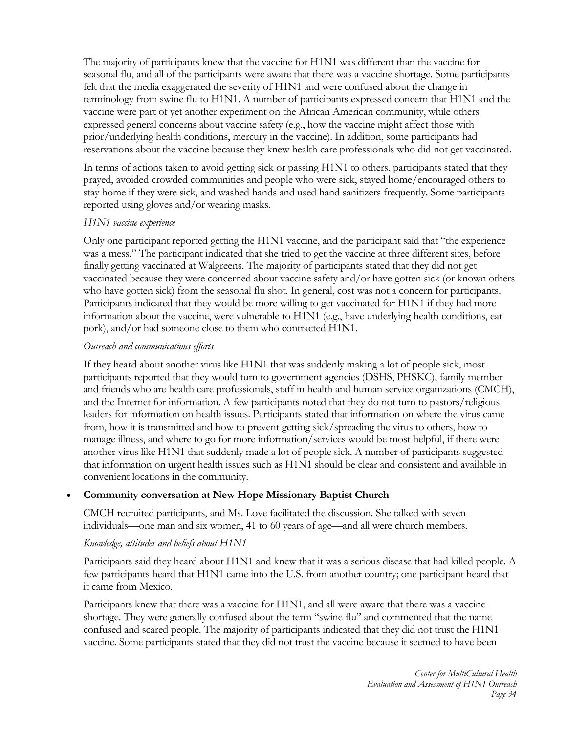The majority of participants knew that the vaccine for H1N1 was different than the vaccine for seasonal flu, and all of the participants were aware that there was a vaccine shortage. Some participants felt that the media exaggerated the severity of H1N1 and were confused about the change in terminology from swine flu to H1N1. A number of participants expressed concern that H1N1 and the vaccine were part of yet another experiment on the African American community, while others expressed general concerns about vaccine safety (e.g., how the vaccine might affect those with prior/underlying health conditions, mercury in the vaccine). In addition, some participants had reservations about the vaccine because they knew health care professionals who did not get vaccinated.

In terms of actions taken to avoid getting sick or passing H1N1 to others, participants stated that they prayed, avoided crowded communities and people who were sick, stayed home/encouraged others to stay home if they were sick, and washed hands and used hand sanitizers frequently. Some participants reported using gloves and/or wearing masks.

#### *H1N1 vaccine experience*

Only one participant reported getting the H1N1 vaccine, and the participant said that "the experience was a mess." The participant indicated that she tried to get the vaccine at three different sites, before finally getting vaccinated at Walgreens. The majority of participants stated that they did not get vaccinated because they were concerned about vaccine safety and/or have gotten sick (or known others who have gotten sick) from the seasonal flu shot. In general, cost was not a concern for participants. Participants indicated that they would be more willing to get vaccinated for H1N1 if they had more information about the vaccine, were vulnerable to H1N1 (e.g., have underlying health conditions, eat pork), and/or had someone close to them who contracted H1N1.

## *Outreach and communications efforts*

If they heard about another virus like H1N1 that was suddenly making a lot of people sick, most participants reported that they would turn to government agencies (DSHS, PHSKC), family member and friends who are health care professionals, staff in health and human service organizations (CMCH), and the Internet for information. A few participants noted that they do not turn to pastors/religious leaders for information on health issues. Participants stated that information on where the virus came from, how it is transmitted and how to prevent getting sick/spreading the virus to others, how to manage illness, and where to go for more information/services would be most helpful, if there were another virus like H1N1 that suddenly made a lot of people sick. A number of participants suggested that information on urgent health issues such as H1N1 should be clear and consistent and available in convenient locations in the community.

# **Community conversation at New Hope Missionary Baptist Church**

CMCH recruited participants, and Ms. Love facilitated the discussion. She talked with seven individuals—one man and six women, 41 to 60 years of age—and all were church members.

#### *Knowledge, attitudes and beliefs about H1N1*

Participants said they heard about H1N1 and knew that it was a serious disease that had killed people. A few participants heard that H1N1 came into the U.S. from another country; one participant heard that it came from Mexico.

Participants knew that there was a vaccine for H1N1, and all were aware that there was a vaccine shortage. They were generally confused about the term "swine flu" and commented that the name confused and scared people. The majority of participants indicated that they did not trust the H1N1 vaccine. Some participants stated that they did not trust the vaccine because it seemed to have been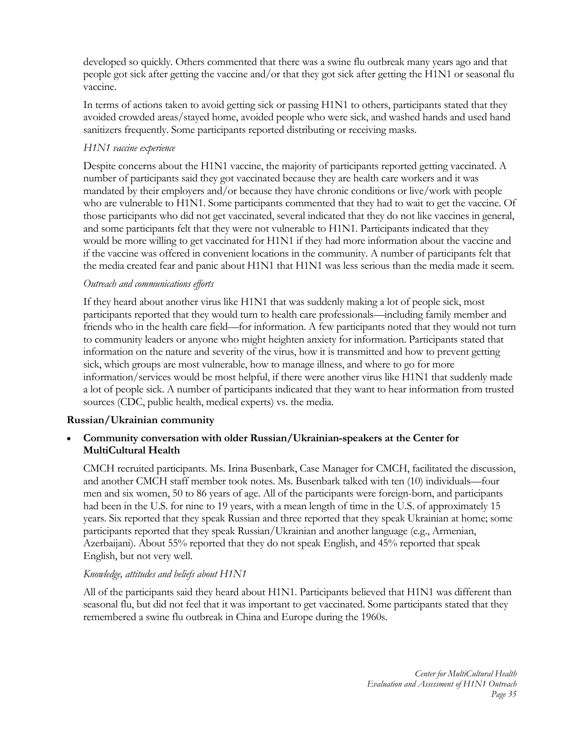developed so quickly. Others commented that there was a swine flu outbreak many years ago and that people got sick after getting the vaccine and/or that they got sick after getting the H1N1 or seasonal flu vaccine.

In terms of actions taken to avoid getting sick or passing H1N1 to others, participants stated that they avoided crowded areas/stayed home, avoided people who were sick, and washed hands and used hand sanitizers frequently. Some participants reported distributing or receiving masks.

# *H1N1 vaccine experience*

Despite concerns about the H1N1 vaccine, the majority of participants reported getting vaccinated. A number of participants said they got vaccinated because they are health care workers and it was mandated by their employers and/or because they have chronic conditions or live/work with people who are vulnerable to H1N1. Some participants commented that they had to wait to get the vaccine. Of those participants who did not get vaccinated, several indicated that they do not like vaccines in general, and some participants felt that they were not vulnerable to H1N1. Participants indicated that they would be more willing to get vaccinated for H1N1 if they had more information about the vaccine and if the vaccine was offered in convenient locations in the community. A number of participants felt that the media created fear and panic about H1N1 that H1N1 was less serious than the media made it seem.

## *Outreach and communications efforts*

If they heard about another virus like H1N1 that was suddenly making a lot of people sick, most participants reported that they would turn to health care professionals—including family member and friends who in the health care field—for information. A few participants noted that they would not turn to community leaders or anyone who might heighten anxiety for information. Participants stated that information on the nature and severity of the virus, how it is transmitted and how to prevent getting sick, which groups are most vulnerable, how to manage illness, and where to go for more information/services would be most helpful, if there were another virus like H1N1 that suddenly made a lot of people sick. A number of participants indicated that they want to hear information from trusted sources (CDC, public health, medical experts) vs. the media.

# **Russian/Ukrainian community**

## **Community conversation with older Russian/Ukrainian-speakers at the Center for MultiCultural Health**

CMCH recruited participants. Ms. Irina Busenbark, Case Manager for CMCH, facilitated the discussion, and another CMCH staff member took notes. Ms. Busenbark talked with ten (10) individuals—four men and six women, 50 to 86 years of age. All of the participants were foreign-born, and participants had been in the U.S. for nine to 19 years, with a mean length of time in the U.S. of approximately 15 years. Six reported that they speak Russian and three reported that they speak Ukrainian at home; some participants reported that they speak Russian/Ukrainian and another language (e.g., Armenian, Azerbaijani). About 55% reported that they do not speak English, and 45% reported that speak English, but not very well.

#### *Knowledge, attitudes and beliefs about H1N1*

All of the participants said they heard about H1N1. Participants believed that H1N1 was different than seasonal flu, but did not feel that it was important to get vaccinated. Some participants stated that they remembered a swine flu outbreak in China and Europe during the 1960s.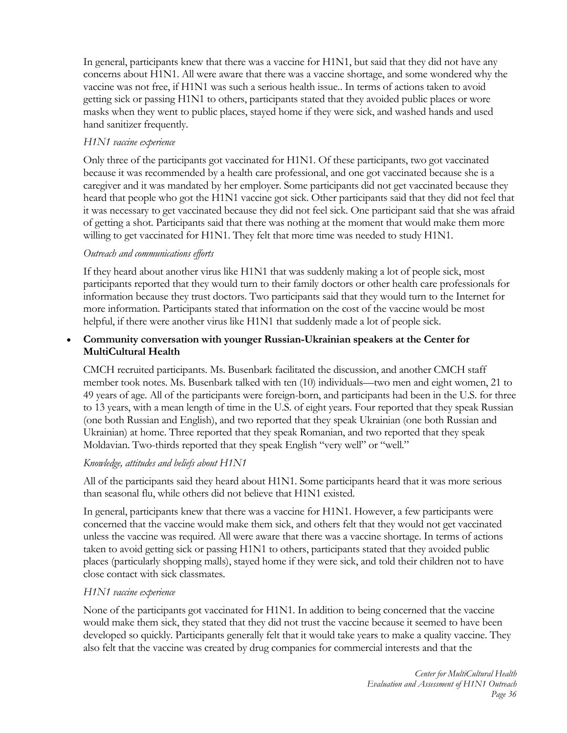In general, participants knew that there was a vaccine for H1N1, but said that they did not have any concerns about H1N1. All were aware that there was a vaccine shortage, and some wondered why the vaccine was not free, if H1N1 was such a serious health issue.. In terms of actions taken to avoid getting sick or passing H1N1 to others, participants stated that they avoided public places or wore masks when they went to public places, stayed home if they were sick, and washed hands and used hand sanitizer frequently.

## *H1N1 vaccine experience*

Only three of the participants got vaccinated for H1N1. Of these participants, two got vaccinated because it was recommended by a health care professional, and one got vaccinated because she is a caregiver and it was mandated by her employer. Some participants did not get vaccinated because they heard that people who got the H1N1 vaccine got sick. Other participants said that they did not feel that it was necessary to get vaccinated because they did not feel sick. One participant said that she was afraid of getting a shot. Participants said that there was nothing at the moment that would make them more willing to get vaccinated for H1N1. They felt that more time was needed to study H1N1.

## *Outreach and communications efforts*

If they heard about another virus like H1N1 that was suddenly making a lot of people sick, most participants reported that they would turn to their family doctors or other health care professionals for information because they trust doctors. Two participants said that they would turn to the Internet for more information. Participants stated that information on the cost of the vaccine would be most helpful, if there were another virus like H1N1 that suddenly made a lot of people sick.

## **Community conversation with younger Russian-Ukrainian speakers at the Center for MultiCultural Health**

CMCH recruited participants. Ms. Busenbark facilitated the discussion, and another CMCH staff member took notes. Ms. Busenbark talked with ten (10) individuals—two men and eight women, 21 to 49 years of age. All of the participants were foreign-born, and participants had been in the U.S. for three to 13 years, with a mean length of time in the U.S. of eight years. Four reported that they speak Russian (one both Russian and English), and two reported that they speak Ukrainian (one both Russian and Ukrainian) at home. Three reported that they speak Romanian, and two reported that they speak Moldavian. Two-thirds reported that they speak English "very well" or "well."

#### *Knowledge, attitudes and beliefs about H1N1*

All of the participants said they heard about H1N1. Some participants heard that it was more serious than seasonal flu, while others did not believe that H1N1 existed.

In general, participants knew that there was a vaccine for H1N1. However, a few participants were concerned that the vaccine would make them sick, and others felt that they would not get vaccinated unless the vaccine was required. All were aware that there was a vaccine shortage. In terms of actions taken to avoid getting sick or passing H1N1 to others, participants stated that they avoided public places (particularly shopping malls), stayed home if they were sick, and told their children not to have close contact with sick classmates.

# *H1N1 vaccine experience*

None of the participants got vaccinated for H1N1. In addition to being concerned that the vaccine would make them sick, they stated that they did not trust the vaccine because it seemed to have been developed so quickly. Participants generally felt that it would take years to make a quality vaccine. They also felt that the vaccine was created by drug companies for commercial interests and that the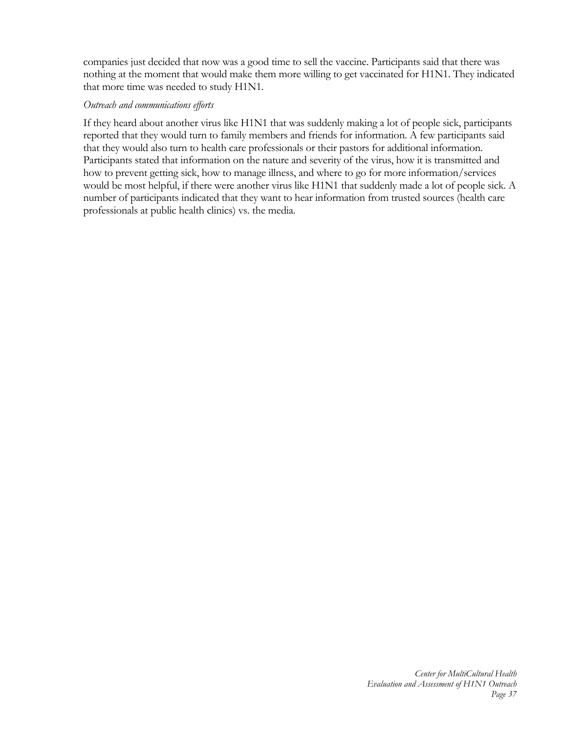companies just decided that now was a good time to sell the vaccine. Participants said that there was nothing at the moment that would make them more willing to get vaccinated for H1N1. They indicated that more time was needed to study H1N1.

#### *Outreach and communications efforts*

If they heard about another virus like H1N1 that was suddenly making a lot of people sick, participants reported that they would turn to family members and friends for information. A few participants said that they would also turn to health care professionals or their pastors for additional information. Participants stated that information on the nature and severity of the virus, how it is transmitted and how to prevent getting sick, how to manage illness, and where to go for more information/services would be most helpful, if there were another virus like H1N1 that suddenly made a lot of people sick. A number of participants indicated that they want to hear information from trusted sources (health care professionals at public health clinics) vs. the media.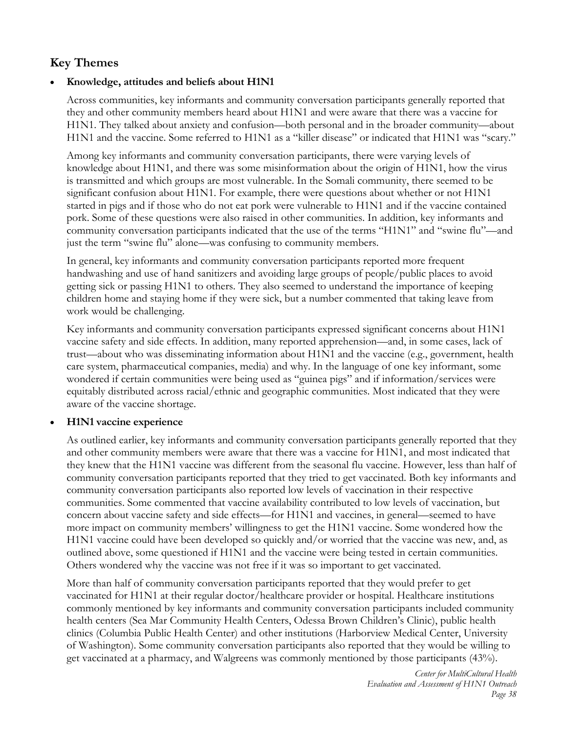# **Key Themes**

# **Knowledge, attitudes and beliefs about H1N1**

Across communities, key informants and community conversation participants generally reported that they and other community members heard about H1N1 and were aware that there was a vaccine for H1N1. They talked about anxiety and confusion—both personal and in the broader community—about H1N1 and the vaccine. Some referred to H1N1 as a "killer disease" or indicated that H1N1 was "scary."

Among key informants and community conversation participants, there were varying levels of knowledge about H1N1, and there was some misinformation about the origin of H1N1, how the virus is transmitted and which groups are most vulnerable. In the Somali community, there seemed to be significant confusion about H1N1. For example, there were questions about whether or not H1N1 started in pigs and if those who do not eat pork were vulnerable to H1N1 and if the vaccine contained pork. Some of these questions were also raised in other communities. In addition, key informants and community conversation participants indicated that the use of the terms "H1N1" and "swine flu"—and just the term "swine flu" alone—was confusing to community members.

In general, key informants and community conversation participants reported more frequent handwashing and use of hand sanitizers and avoiding large groups of people/public places to avoid getting sick or passing H1N1 to others. They also seemed to understand the importance of keeping children home and staying home if they were sick, but a number commented that taking leave from work would be challenging.

Key informants and community conversation participants expressed significant concerns about H1N1 vaccine safety and side effects. In addition, many reported apprehension—and, in some cases, lack of trust—about who was disseminating information about H1N1 and the vaccine (e.g., government, health care system, pharmaceutical companies, media) and why. In the language of one key informant, some wondered if certain communities were being used as "guinea pigs" and if information/services were equitably distributed across racial/ethnic and geographic communities. Most indicated that they were aware of the vaccine shortage.

# **H1N1 vaccine experience**

As outlined earlier, key informants and community conversation participants generally reported that they and other community members were aware that there was a vaccine for H1N1, and most indicated that they knew that the H1N1 vaccine was different from the seasonal flu vaccine. However, less than half of community conversation participants reported that they tried to get vaccinated. Both key informants and community conversation participants also reported low levels of vaccination in their respective communities. Some commented that vaccine availability contributed to low levels of vaccination, but concern about vaccine safety and side effects—for H1N1 and vaccines, in general—seemed to have more impact on community members' willingness to get the H1N1 vaccine. Some wondered how the H1N1 vaccine could have been developed so quickly and/or worried that the vaccine was new, and, as outlined above, some questioned if H1N1 and the vaccine were being tested in certain communities. Others wondered why the vaccine was not free if it was so important to get vaccinated.

More than half of community conversation participants reported that they would prefer to get vaccinated for H1N1 at their regular doctor/healthcare provider or hospital. Healthcare institutions commonly mentioned by key informants and community conversation participants included community health centers (Sea Mar Community Health Centers, Odessa Brown Children's Clinic), public health clinics (Columbia Public Health Center) and other institutions (Harborview Medical Center, University of Washington). Some community conversation participants also reported that they would be willing to get vaccinated at a pharmacy, and Walgreens was commonly mentioned by those participants (43%).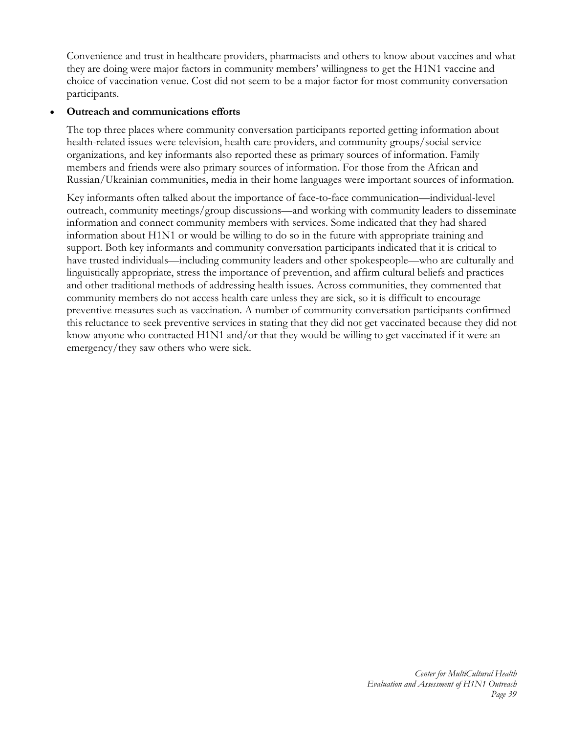Convenience and trust in healthcare providers, pharmacists and others to know about vaccines and what they are doing were major factors in community members' willingness to get the H1N1 vaccine and choice of vaccination venue. Cost did not seem to be a major factor for most community conversation participants.

## **Outreach and communications efforts**

The top three places where community conversation participants reported getting information about health-related issues were television, health care providers, and community groups/social service organizations, and key informants also reported these as primary sources of information. Family members and friends were also primary sources of information. For those from the African and Russian/Ukrainian communities, media in their home languages were important sources of information.

Key informants often talked about the importance of face-to-face communication—individual-level outreach, community meetings/group discussions—and working with community leaders to disseminate information and connect community members with services. Some indicated that they had shared information about H1N1 or would be willing to do so in the future with appropriate training and support. Both key informants and community conversation participants indicated that it is critical to have trusted individuals—including community leaders and other spokespeople—who are culturally and linguistically appropriate, stress the importance of prevention, and affirm cultural beliefs and practices and other traditional methods of addressing health issues. Across communities, they commented that community members do not access health care unless they are sick, so it is difficult to encourage preventive measures such as vaccination. A number of community conversation participants confirmed this reluctance to seek preventive services in stating that they did not get vaccinated because they did not know anyone who contracted H1N1 and/or that they would be willing to get vaccinated if it were an emergency/they saw others who were sick.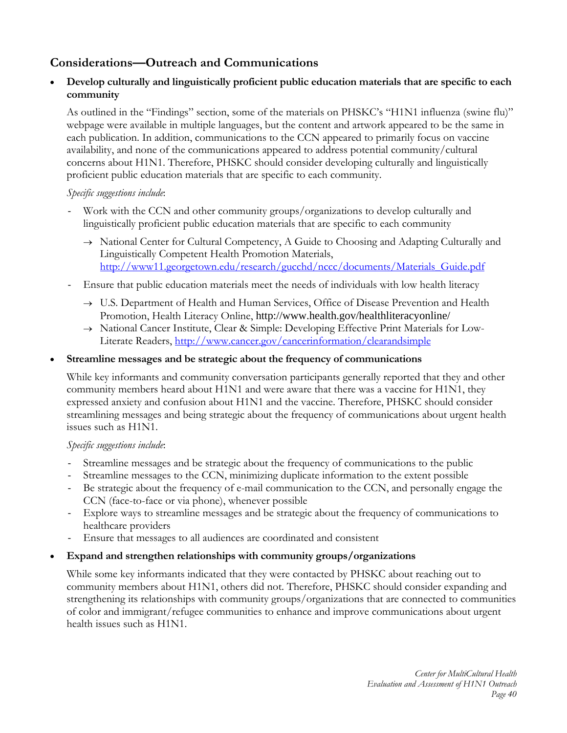# **Considerations—Outreach and Communications**

## **Develop culturally and linguistically proficient public education materials that are specific to each community**

As outlined in the "Findings" section, some of the materials on PHSKC's "H1N1 influenza (swine flu)" webpage were available in multiple languages, but the content and artwork appeared to be the same in each publication. In addition, communications to the CCN appeared to primarily focus on vaccine availability, and none of the communications appeared to address potential community/cultural concerns about H1N1. Therefore, PHSKC should consider developing culturally and linguistically proficient public education materials that are specific to each community.

## *Specific suggestions include*:

- Work with the CCN and other community groups/organizations to develop culturally and linguistically proficient public education materials that are specific to each community
	- $\rightarrow$  National Center for Cultural Competency, A Guide to Choosing and Adapting Culturally and Linguistically Competent Health Promotion Materials, http://www11.georgetown.edu/research/gucchd/nccc/documents/Materials\_Guide.pdf
- Ensure that public education materials meet the needs of individuals with low health literacy
	- $\rightarrow$  U.S. Department of Health and Human Services, Office of Disease Prevention and Health Promotion, Health Literacy Online, http://www.health.gov/healthliteracyonline/
	- → National Cancer Institute, Clear & Simple: Developing Effective Print Materials for Low-Literate Readers, http://www.cancer.gov/cancerinformation/clearandsimple

# **Streamline messages and be strategic about the frequency of communications**

While key informants and community conversation participants generally reported that they and other community members heard about H1N1 and were aware that there was a vaccine for H1N1, they expressed anxiety and confusion about H1N1 and the vaccine. Therefore, PHSKC should consider streamlining messages and being strategic about the frequency of communications about urgent health issues such as H1N1.

# *Specific suggestions include*:

- Streamline messages and be strategic about the frequency of communications to the public
- Streamline messages to the CCN, minimizing duplicate information to the extent possible
- Be strategic about the frequency of e-mail communication to the CCN, and personally engage the CCN (face-to-face or via phone), whenever possible
- Explore ways to streamline messages and be strategic about the frequency of communications to healthcare providers
- Ensure that messages to all audiences are coordinated and consistent

# **Expand and strengthen relationships with community groups/organizations**

While some key informants indicated that they were contacted by PHSKC about reaching out to community members about H1N1, others did not. Therefore, PHSKC should consider expanding and strengthening its relationships with community groups/organizations that are connected to communities of color and immigrant/refugee communities to enhance and improve communications about urgent health issues such as H1N1.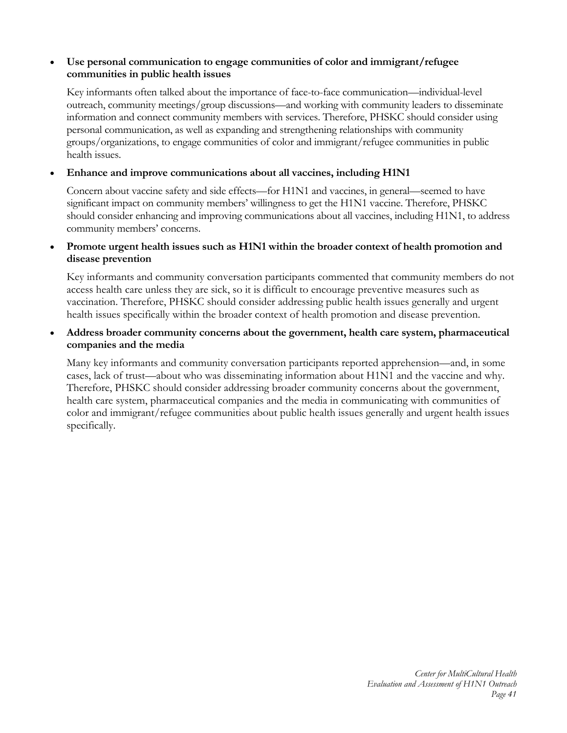## **Use personal communication to engage communities of color and immigrant/refugee communities in public health issues**

Key informants often talked about the importance of face-to-face communication—individual-level outreach, community meetings/group discussions—and working with community leaders to disseminate information and connect community members with services. Therefore, PHSKC should consider using personal communication, as well as expanding and strengthening relationships with community groups/organizations, to engage communities of color and immigrant/refugee communities in public health issues.

#### **Enhance and improve communications about all vaccines, including H1N1**

Concern about vaccine safety and side effects—for H1N1 and vaccines, in general—seemed to have significant impact on community members' willingness to get the H1N1 vaccine. Therefore, PHSKC should consider enhancing and improving communications about all vaccines, including H1N1, to address community members' concerns.

## **Promote urgent health issues such as H1N1 within the broader context of health promotion and disease prevention**

Key informants and community conversation participants commented that community members do not access health care unless they are sick, so it is difficult to encourage preventive measures such as vaccination. Therefore, PHSKC should consider addressing public health issues generally and urgent health issues specifically within the broader context of health promotion and disease prevention.

#### **Address broader community concerns about the government, health care system, pharmaceutical companies and the media**

Many key informants and community conversation participants reported apprehension—and, in some cases, lack of trust—about who was disseminating information about H1N1 and the vaccine and why. Therefore, PHSKC should consider addressing broader community concerns about the government, health care system, pharmaceutical companies and the media in communicating with communities of color and immigrant/refugee communities about public health issues generally and urgent health issues specifically.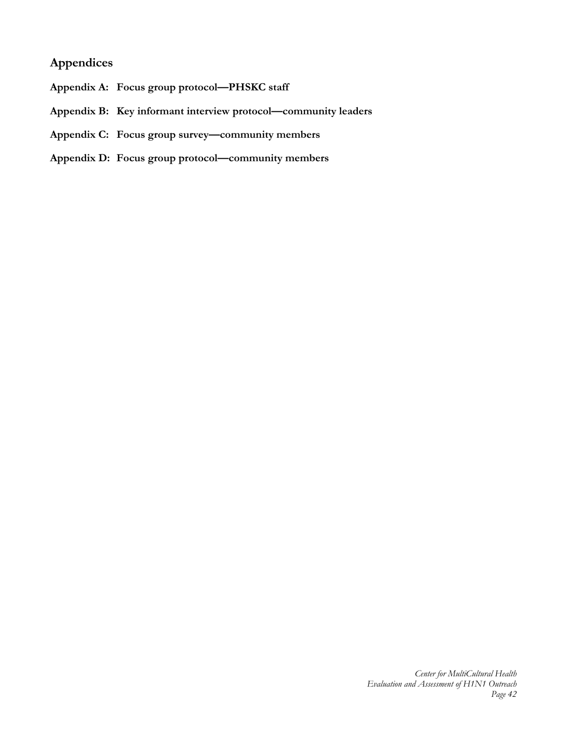# **Appendices**

- **Appendix A: Focus group protocol—PHSKC staff**
- **Appendix B: Key informant interview protocol—community leaders**
- **Appendix C: Focus group survey—community members**
- **Appendix D: Focus group protocol—community members**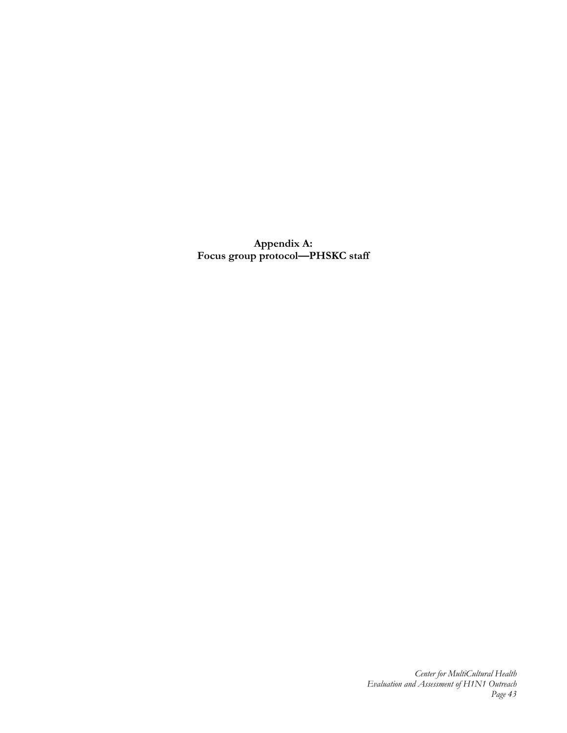**Appendix A: Focus group protocol—PHSKC staff**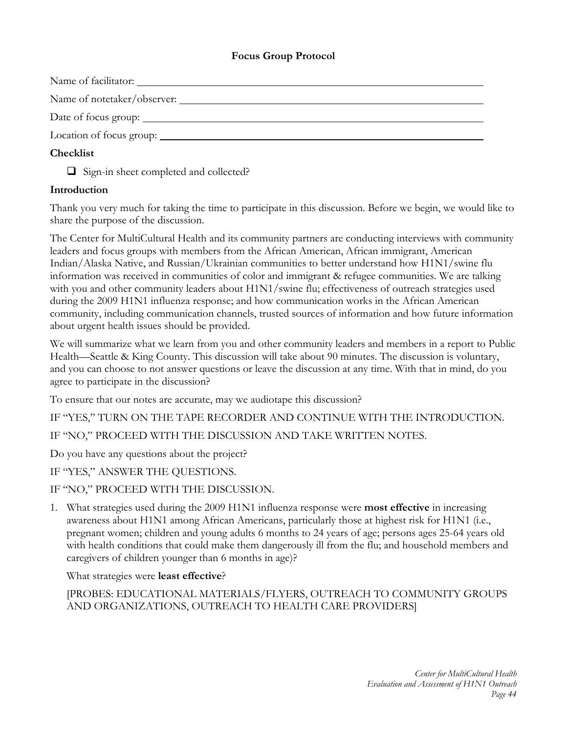# **Focus Group Protocol**

Name of facilitator:

Name of notetaker/observer:

Date of focus group:

Location of focus group:

# **Checklist**

□ Sign-in sheet completed and collected?

# **Introduction**

Thank you very much for taking the time to participate in this discussion. Before we begin, we would like to share the purpose of the discussion.

The Center for MultiCultural Health and its community partners are conducting interviews with community leaders and focus groups with members from the African American, African immigrant, American Indian/Alaska Native, and Russian/Ukrainian communities to better understand how H1N1/swine flu information was received in communities of color and immigrant & refugee communities. We are talking with you and other community leaders about H1N1/swine flu; effectiveness of outreach strategies used during the 2009 H1N1 influenza response; and how communication works in the African American community, including communication channels, trusted sources of information and how future information about urgent health issues should be provided.

We will summarize what we learn from you and other community leaders and members in a report to Public Health—Seattle & King County. This discussion will take about 90 minutes. The discussion is voluntary, and you can choose to not answer questions or leave the discussion at any time. With that in mind, do you agree to participate in the discussion?

To ensure that our notes are accurate, may we audiotape this discussion?

IF "YES," TURN ON THE TAPE RECORDER AND CONTINUE WITH THE INTRODUCTION.

IF "NO," PROCEED WITH THE DISCUSSION AND TAKE WRITTEN NOTES.

Do you have any questions about the project?

IF "YES," ANSWER THE QUESTIONS.

- IF "NO," PROCEED WITH THE DISCUSSION.
- 1. What strategies used during the 2009 H1N1 influenza response were **most effective** in increasing awareness about H1N1 among African Americans, particularly those at highest risk for H1N1 (i.e., pregnant women; children and young adults 6 months to 24 years of age; persons ages 25-64 years old with health conditions that could make them dangerously ill from the flu; and household members and caregivers of children younger than 6 months in age)?

What strategies were **least effective**?

# [PROBES: EDUCATIONAL MATERIALS/FLYERS, OUTREACH TO COMMUNITY GROUPS AND ORGANIZATIONS, OUTREACH TO HEALTH CARE PROVIDERS]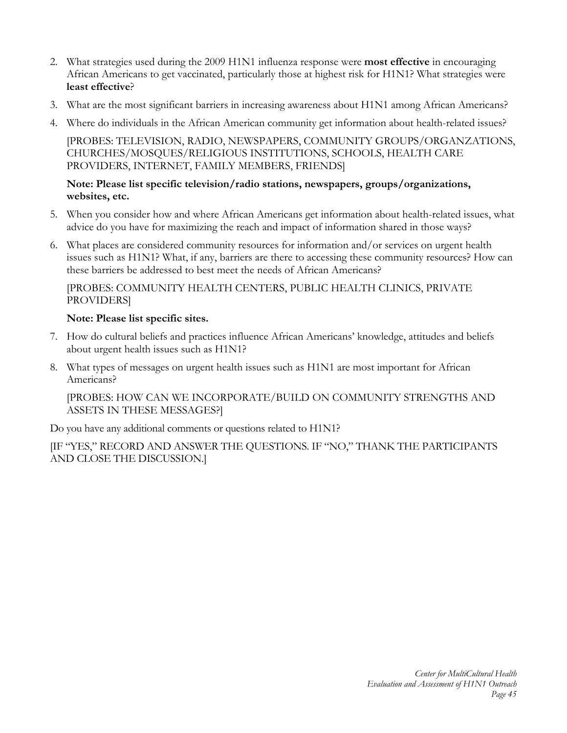- 2. What strategies used during the 2009 H1N1 influenza response were **most effective** in encouraging African Americans to get vaccinated, particularly those at highest risk for H1N1? What strategies were **least effective**?
- 3. What are the most significant barriers in increasing awareness about H1N1 among African Americans?
- 4. Where do individuals in the African American community get information about health-related issues?

[PROBES: TELEVISION, RADIO, NEWSPAPERS, COMMUNITY GROUPS/ORGANZATIONS, CHURCHES/MOSQUES/RELIGIOUS INSTITUTIONS, SCHOOLS, HEALTH CARE PROVIDERS, INTERNET, FAMILY MEMBERS, FRIENDS]

#### **Note: Please list specific television/radio stations, newspapers, groups/organizations, websites, etc.**

- 5. When you consider how and where African Americans get information about health-related issues, what advice do you have for maximizing the reach and impact of information shared in those ways?
- 6. What places are considered community resources for information and/or services on urgent health issues such as H1N1? What, if any, barriers are there to accessing these community resources? How can these barriers be addressed to best meet the needs of African Americans?

# [PROBES: COMMUNITY HEALTH CENTERS, PUBLIC HEALTH CLINICS, PRIVATE PROVIDERS]

# **Note: Please list specific sites.**

- 7. How do cultural beliefs and practices influence African Americans' knowledge, attitudes and beliefs about urgent health issues such as H1N1?
- 8. What types of messages on urgent health issues such as H1N1 are most important for African Americans?

[PROBES: HOW CAN WE INCORPORATE/BUILD ON COMMUNITY STRENGTHS AND ASSETS IN THESE MESSAGES?]

Do you have any additional comments or questions related to H1N1?

[IF "YES," RECORD AND ANSWER THE QUESTIONS. IF "NO," THANK THE PARTICIPANTS AND CLOSE THE DISCUSSION.]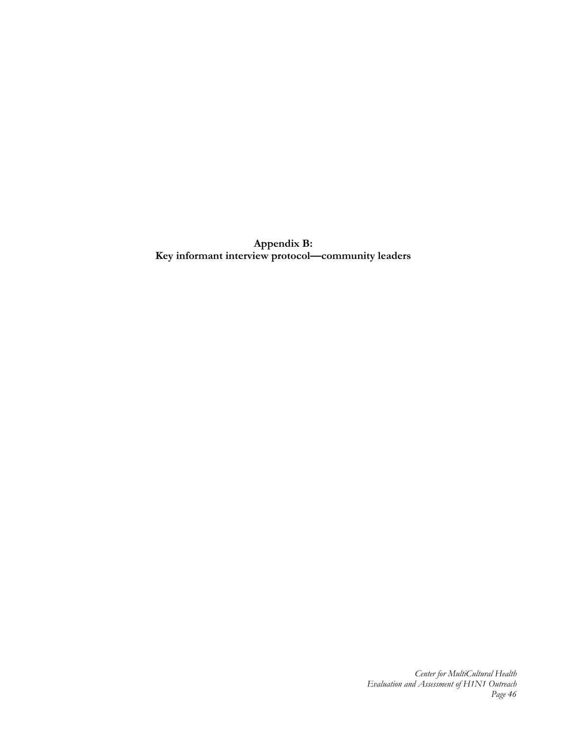**Appendix B: Key informant interview protocol—community leaders**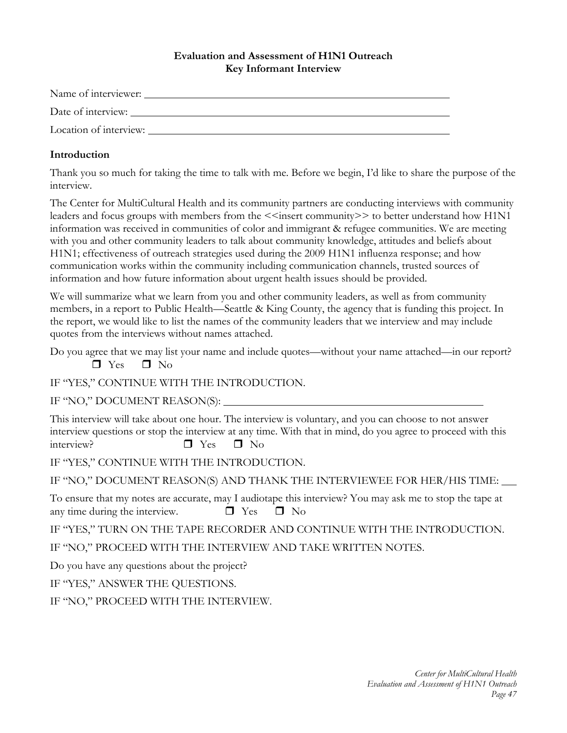#### **Evaluation and Assessment of H1N1 Outreach Key Informant Interview**

| Name of interviewer:   |  |
|------------------------|--|
| Date of interview:     |  |
| Location of interview: |  |

## **Introduction**

Thank you so much for taking the time to talk with me. Before we begin, I'd like to share the purpose of the interview.

The Center for MultiCultural Health and its community partners are conducting interviews with community leaders and focus groups with members from the <<insert community>> to better understand how H1N1 information was received in communities of color and immigrant & refugee communities. We are meeting with you and other community leaders to talk about community knowledge, attitudes and beliefs about H1N1; effectiveness of outreach strategies used during the 2009 H1N1 influenza response; and how communication works within the community including communication channels, trusted sources of information and how future information about urgent health issues should be provided.

We will summarize what we learn from you and other community leaders, as well as from community members, in a report to Public Health—Seattle & King County, the agency that is funding this project. In the report, we would like to list the names of the community leaders that we interview and may include quotes from the interviews without names attached.

Do you agree that we may list your name and include quotes—without your name attached—in our report?  $\Box$  Yes  $\Box$  No

IF "YES," CONTINUE WITH THE INTRODUCTION.

IF "NO," DOCUMENT REASON(S):

This interview will take about one hour. The interview is voluntary, and you can choose to not answer interview questions or stop the interview at any time. With that in mind, do you agree to proceed with this interview?  $\Box$  Yes  $\Box$  No

IF "YES," CONTINUE WITH THE INTRODUCTION.

IF "NO," DOCUMENT REASON(S) AND THANK THE INTERVIEWEE FOR HER/HIS TIME:

To ensure that my notes are accurate, may I audiotape this interview? You may ask me to stop the tape at any time during the interview.  $\Box$  Yes  $\Box$  No

IF "YES," TURN ON THE TAPE RECORDER AND CONTINUE WITH THE INTRODUCTION.

IF "NO," PROCEED WITH THE INTERVIEW AND TAKE WRITTEN NOTES.

Do you have any questions about the project?

IF "YES," ANSWER THE QUESTIONS.

IF "NO," PROCEED WITH THE INTERVIEW.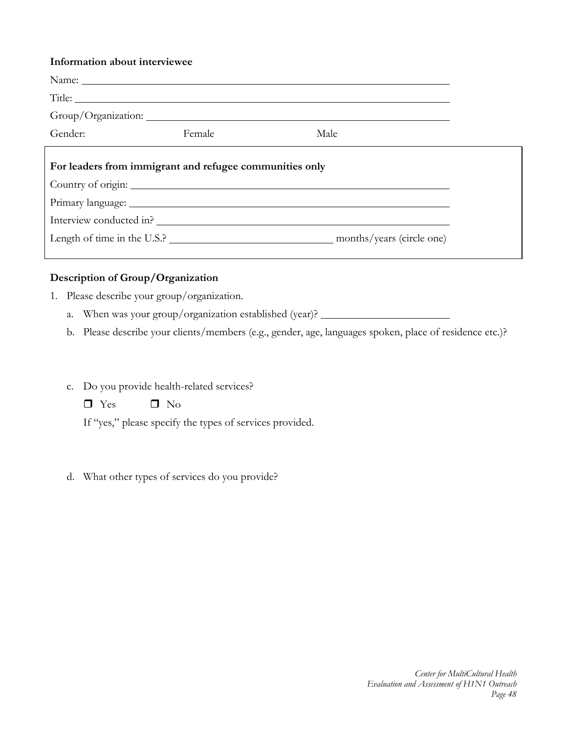#### **Information about interviewee**

| Gender:<br>Female<br>Male                               |  |  |
|---------------------------------------------------------|--|--|
| For leaders from immigrant and refugee communities only |  |  |
| Interview conducted in?                                 |  |  |
|                                                         |  |  |

# **Description of Group/Organization**

- 1. Please describe your group/organization.
	- a. When was your group/organization established (year)?
	- b. Please describe your clients/members (e.g., gender, age, languages spoken, place of residence etc.)?
	- c. Do you provide health-related services?
		- $\Box$  Yes  $\Box$  No

If "yes," please specify the types of services provided.

d. What other types of services do you provide?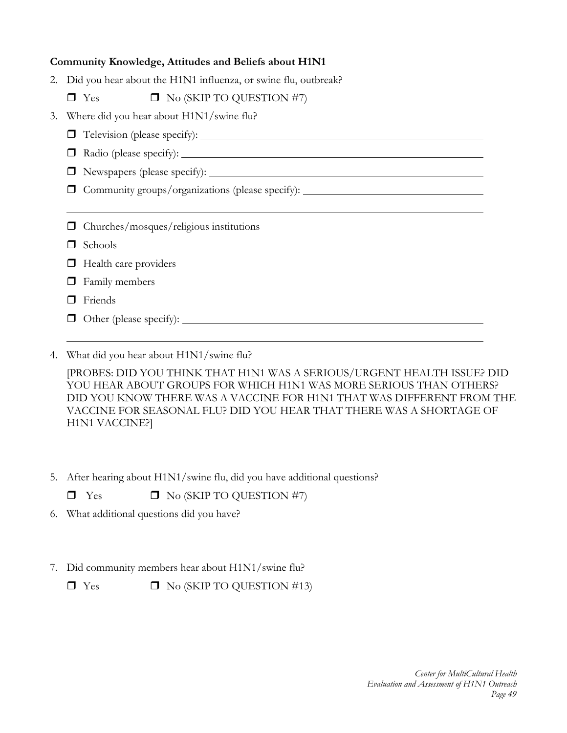#### **Community Knowledge, Attitudes and Beliefs about H1N1**

2. Did you hear about the H1N1 influenza, or swine flu, outbreak?

 $\Box$  Yes  $\Box$  No (SKIP TO QUESTION #7)

- 3. Where did you hear about H1N1/swine flu?
	- Television (please specify):
	- Radio (please specify):
	- Newspapers (please specify):

Community groups/organizations (please specify):

Churches/mosques/religious institutions

- **D** Schools
- $\Box$  Health care providers
- $\Box$  Family members
- **D** Friends
- $\Box$  Other (please specify):
- 4. What did you hear about H1N1/swine flu?

[PROBES: DID YOU THINK THAT H1N1 WAS A SERIOUS/URGENT HEALTH ISSUE? DID YOU HEAR ABOUT GROUPS FOR WHICH H1N1 WAS MORE SERIOUS THAN OTHERS? DID YOU KNOW THERE WAS A VACCINE FOR H1N1 THAT WAS DIFFERENT FROM THE VACCINE FOR SEASONAL FLU? DID YOU HEAR THAT THERE WAS A SHORTAGE OF H1N1 VACCINE?]

- 5. After hearing about H1N1/swine flu, did you have additional questions?
	- $\Box$  Yes  $\Box$  No (SKIP TO QUESTION #7)
- 6. What additional questions did you have?
- 7. Did community members hear about H1N1/swine flu?

 $\Box$  Yes  $\Box$  No (SKIP TO QUESTION #13)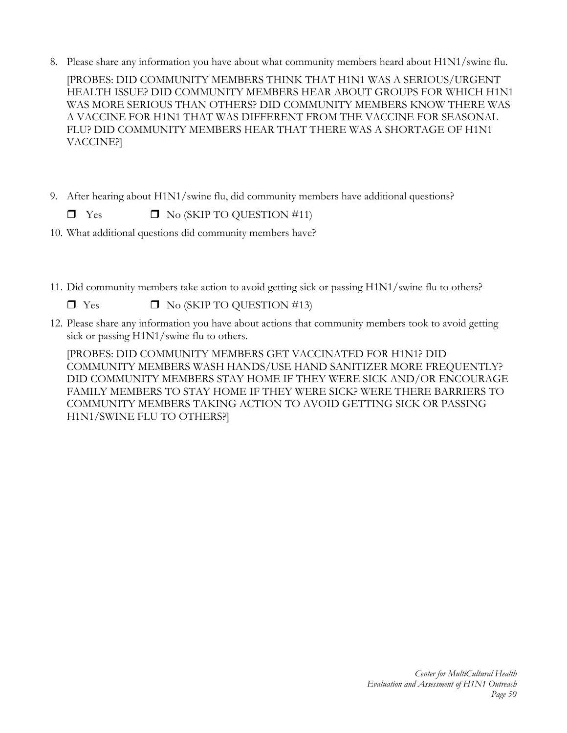8. Please share any information you have about what community members heard about H1N1/swine flu.

[PROBES: DID COMMUNITY MEMBERS THINK THAT H1N1 WAS A SERIOUS/URGENT HEALTH ISSUE? DID COMMUNITY MEMBERS HEAR ABOUT GROUPS FOR WHICH H1N1 WAS MORE SERIOUS THAN OTHERS? DID COMMUNITY MEMBERS KNOW THERE WAS A VACCINE FOR H1N1 THAT WAS DIFFERENT FROM THE VACCINE FOR SEASONAL FLU? DID COMMUNITY MEMBERS HEAR THAT THERE WAS A SHORTAGE OF H1N1 VACCINE?]

9. After hearing about H1N1/swine flu, did community members have additional questions?

 $\Box$  Yes  $\Box$  No (SKIP TO OUESTION #11)

- 10. What additional questions did community members have?
- 11. Did community members take action to avoid getting sick or passing H1N1/swine flu to others?

 $\Box$  Yes  $\Box$  No (SKIP TO QUESTION #13)

12. Please share any information you have about actions that community members took to avoid getting sick or passing H1N1/swine flu to others.

[PROBES: DID COMMUNITY MEMBERS GET VACCINATED FOR H1N1? DID COMMUNITY MEMBERS WASH HANDS/USE HAND SANITIZER MORE FREQUENTLY? DID COMMUNITY MEMBERS STAY HOME IF THEY WERE SICK AND/OR ENCOURAGE FAMILY MEMBERS TO STAY HOME IF THEY WERE SICK? WERE THERE BARRIERS TO COMMUNITY MEMBERS TAKING ACTION TO AVOID GETTING SICK OR PASSING H1N1/SWINE FLU TO OTHERS?]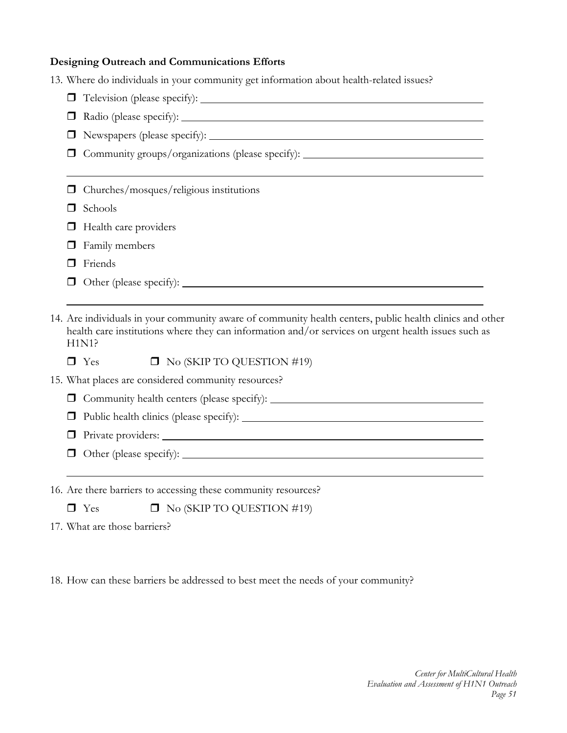# **Designing Outreach and Communications Efforts**

|        | 13. Where do individuals in your community get information about health-related issues?                                                                                                                                  |  |  |  |  |
|--------|--------------------------------------------------------------------------------------------------------------------------------------------------------------------------------------------------------------------------|--|--|--|--|
|        |                                                                                                                                                                                                                          |  |  |  |  |
|        |                                                                                                                                                                                                                          |  |  |  |  |
|        |                                                                                                                                                                                                                          |  |  |  |  |
|        | Community groups/organizations (please specify): _______________________________                                                                                                                                         |  |  |  |  |
|        | Churches/mosques/religious institutions                                                                                                                                                                                  |  |  |  |  |
|        | Schools                                                                                                                                                                                                                  |  |  |  |  |
|        | Health care providers                                                                                                                                                                                                    |  |  |  |  |
|        | Family members                                                                                                                                                                                                           |  |  |  |  |
|        | Friends                                                                                                                                                                                                                  |  |  |  |  |
|        |                                                                                                                                                                                                                          |  |  |  |  |
|        |                                                                                                                                                                                                                          |  |  |  |  |
|        | 14. Are individuals in your community aware of community health centers, public health clinics and other<br>health care institutions where they can information and/or services on urgent health issues such as<br>H1N1? |  |  |  |  |
|        | $\Box$ No (SKIP TO QUESTION #19)<br>$\Box$ Yes                                                                                                                                                                           |  |  |  |  |
|        | 15. What places are considered community resources?                                                                                                                                                                      |  |  |  |  |
| $\Box$ | Community health centers (please specify):                                                                                                                                                                               |  |  |  |  |
|        |                                                                                                                                                                                                                          |  |  |  |  |
|        |                                                                                                                                                                                                                          |  |  |  |  |
|        |                                                                                                                                                                                                                          |  |  |  |  |
|        |                                                                                                                                                                                                                          |  |  |  |  |

16. Are there barriers to accessing these community resources?

 $\Box$  Yes  $\Box$  No (SKIP TO QUESTION #19)

17. What are those barriers?

18. How can these barriers be addressed to best meet the needs of your community?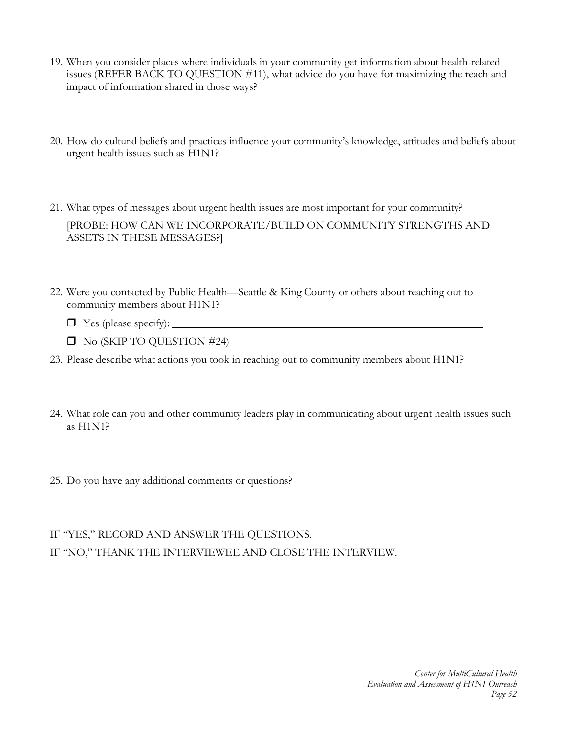- 19. When you consider places where individuals in your community get information about health-related issues (REFER BACK TO QUESTION #11), what advice do you have for maximizing the reach and impact of information shared in those ways?
- 20. How do cultural beliefs and practices influence your community's knowledge, attitudes and beliefs about urgent health issues such as H1N1?
- 21. What types of messages about urgent health issues are most important for your community? [PROBE: HOW CAN WE INCORPORATE/BUILD ON COMMUNITY STRENGTHS AND ASSETS IN THESE MESSAGES?]
- 22. Were you contacted by Public Health—Seattle & King County or others about reaching out to community members about H1N1?
	- Yes (please specify):
	- No (SKIP TO QUESTION #24)
- 23. Please describe what actions you took in reaching out to community members about H1N1?
- 24. What role can you and other community leaders play in communicating about urgent health issues such as H1N1?
- 25. Do you have any additional comments or questions?

# IF "YES," RECORD AND ANSWER THE QUESTIONS. IF "NO," THANK THE INTERVIEWEE AND CLOSE THE INTERVIEW.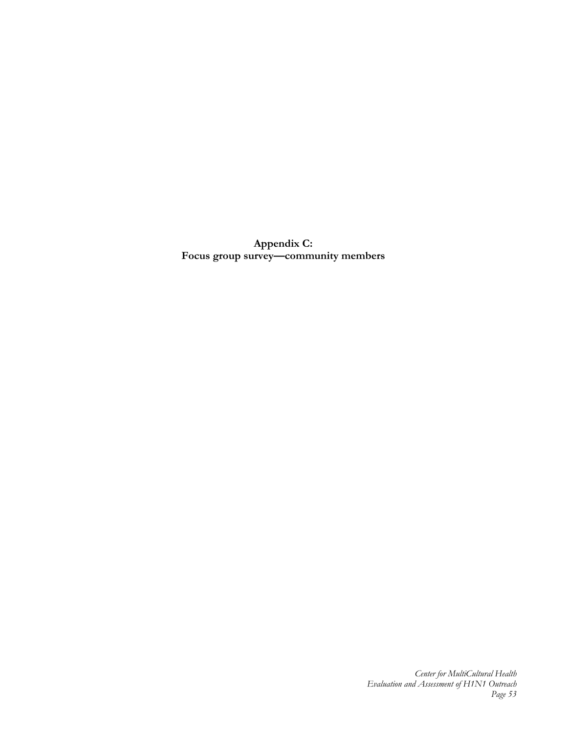**Appendix C: Focus group survey—community members**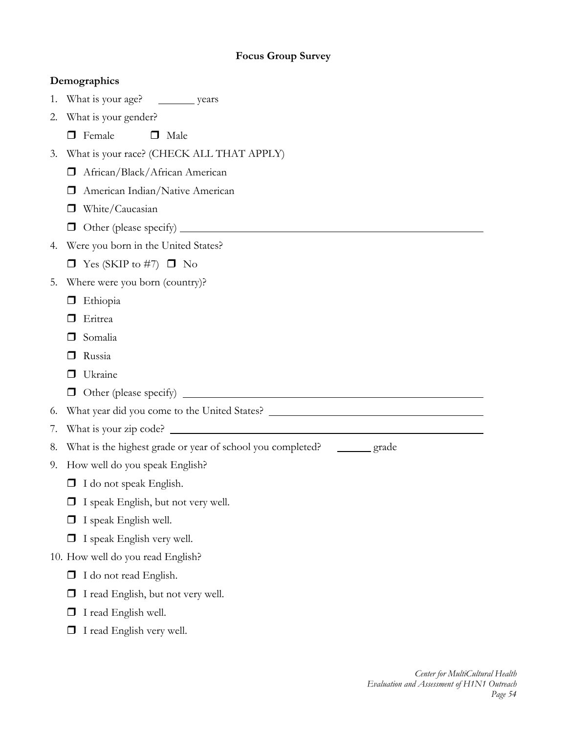# **Focus Group Survey**

|    | Demographics                                                             |
|----|--------------------------------------------------------------------------|
|    | 1. What is your age? __________ years                                    |
| 2. | What is your gender?                                                     |
|    | Female<br>$\Box$<br>Male<br>П                                            |
| 3. | What is your race? (CHECK ALL THAT APPLY)                                |
|    | African/Black/African American                                           |
|    | American Indian/Native American<br>П                                     |
|    | White/Caucasian                                                          |
|    |                                                                          |
| 4. | Were you born in the United States?                                      |
|    | $\Box$ Yes (SKIP to #7) $\Box$ No                                        |
| 5. | Where were you born (country)?                                           |
|    | Ethiopia<br>ப                                                            |
|    | Eritrea                                                                  |
|    | Somalia                                                                  |
|    | Russia                                                                   |
|    | Ukraine                                                                  |
|    |                                                                          |
| 6. |                                                                          |
| 7. |                                                                          |
| 8. | What is the highest grade or year of school you completed? _______ grade |
|    | 9. How well do you speak English?                                        |
|    | I do not speak English.                                                  |
|    | I speak English, but not very well.                                      |
|    | I speak English well.                                                    |
|    | I speak English very well.                                               |
|    | 10. How well do you read English?                                        |
|    | I do not read English.<br>ப                                              |
|    | I read English, but not very well.                                       |
|    | I read English well.                                                     |
|    | I read English very well.                                                |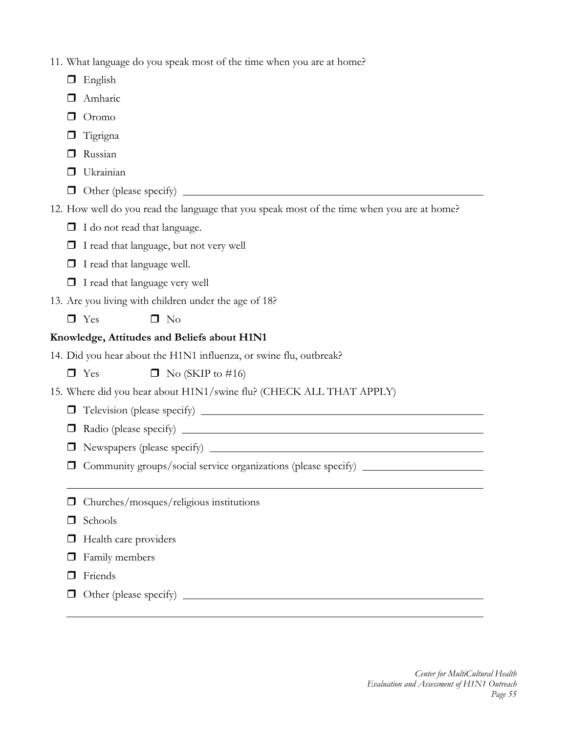| 11. What language do you speak most of the time when you are at home? |  |  |
|-----------------------------------------------------------------------|--|--|
|                                                                       |  |  |

- **English**
- Amharic
- D Oromo
- $\Box$  Tigrigna
- **D** Russian
- **Ukrainian**
- Other (please specify)
- 12. How well do you read the language that you speak most of the time when you are at home?
	- $\Box$  I do not read that language.
	- I read that language, but not very well
	- **I** I read that language well.
	- $\Box$  I read that language very well
- 13. Are you living with children under the age of 18?
	- $\Box$  Yes  $\Box$  No

# **Knowledge, Attitudes and Beliefs about H1N1**

14. Did you hear about the H1N1 influenza, or swine flu, outbreak?

 $\Box$  Yes  $\Box$  No (SKIP to #16)

- 15. Where did you hear about H1N1/swine flu? (CHECK ALL THAT APPLY)
	- Television (please specify)
	- Radio (please specify)
	- Newspapers (please specify)
	- Community groups/social service organizations (please specify)
	- Churches/mosques/religious institutions
	- $\Box$  Schools
	- $\Box$  Health care providers
	- $\Box$  Family members
	- **D** Friends
	- $\Box$  Other (please specify)  $\Box$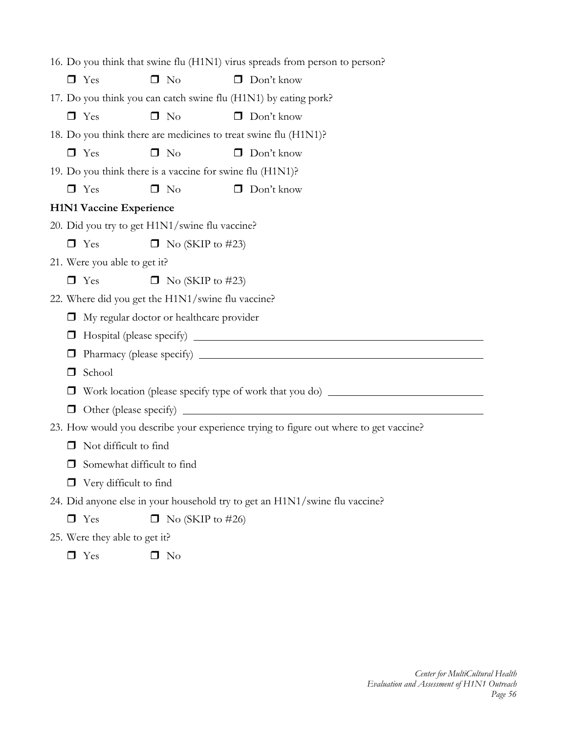| 16. Do you think that swine flu (H1N1) virus spreads from person to person? |                                                                                       |  |  |
|-----------------------------------------------------------------------------|---------------------------------------------------------------------------------------|--|--|
| $\Box$ Yes<br>$\Box$ No                                                     | $\Box$ Don't know                                                                     |  |  |
| 17. Do you think you can catch swine flu (H1N1) by eating pork?             |                                                                                       |  |  |
| $\Box$ Yes<br>$\Box$ No                                                     | $\Box$ Don't know                                                                     |  |  |
|                                                                             | 18. Do you think there are medicines to treat swine flu (H1N1)?                       |  |  |
| $\Box$ Yes<br>$\Box$ No                                                     | $\Box$ Don't know                                                                     |  |  |
| 19. Do you think there is a vaccine for swine flu (H1N1)?                   |                                                                                       |  |  |
| $\Box$ Yes<br>$\Box$ No                                                     | $\Box$ Don't know                                                                     |  |  |
| <b>H1N1 Vaccine Experience</b>                                              |                                                                                       |  |  |
| 20. Did you try to get H1N1/swine flu vaccine?                              |                                                                                       |  |  |
| $\Box$ Yes                                                                  | $\Box$ No (SKIP to #23)                                                               |  |  |
| 21. Were you able to get it?                                                |                                                                                       |  |  |
| $\Box$ Yes                                                                  | $\Box$ No (SKIP to #23)                                                               |  |  |
| 22. Where did you get the H1N1/swine flu vaccine?                           |                                                                                       |  |  |
| My regular doctor or healthcare provider                                    |                                                                                       |  |  |
|                                                                             |                                                                                       |  |  |
|                                                                             |                                                                                       |  |  |
| School<br>ப                                                                 |                                                                                       |  |  |
|                                                                             | Work location (please specify type of work that you do) _________________________     |  |  |
| $\Box$                                                                      |                                                                                       |  |  |
|                                                                             | 23. How would you describe your experience trying to figure out where to get vaccine? |  |  |
| Not difficult to find<br>⊔                                                  |                                                                                       |  |  |
| Somewhat difficult to find                                                  |                                                                                       |  |  |
| $\Box$ Very difficult to find                                               |                                                                                       |  |  |
|                                                                             | 24. Did anyone else in your household try to get an H1N1/swine flu vaccine?           |  |  |
| $\Box$ Yes                                                                  | $\Box$ No (SKIP to #26)                                                               |  |  |
| 25. Were they able to get it?                                               |                                                                                       |  |  |

 $\Box$  Yes  $\Box$  No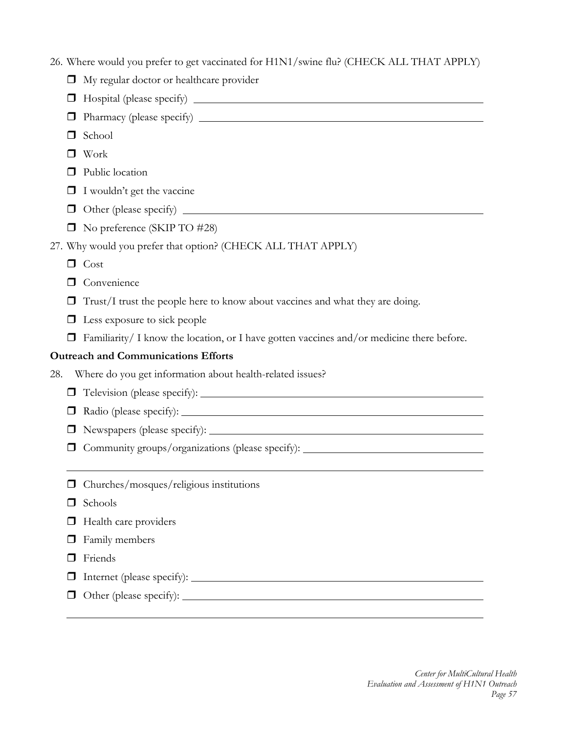|        | 26. Where would you prefer to get vaccinated for H1N1/swine flu? (CHECK ALL THAT APPLY)   |  |  |  |
|--------|-------------------------------------------------------------------------------------------|--|--|--|
| ◻      | My regular doctor or healthcare provider                                                  |  |  |  |
| ப      |                                                                                           |  |  |  |
| ப      |                                                                                           |  |  |  |
| H      | School                                                                                    |  |  |  |
| $\Box$ | Work                                                                                      |  |  |  |
|        | Public location                                                                           |  |  |  |
|        | I wouldn't get the vaccine                                                                |  |  |  |
| □      |                                                                                           |  |  |  |
| ◻      | No preference (SKIP TO #28)                                                               |  |  |  |
|        | 27. Why would you prefer that option? (CHECK ALL THAT APPLY)                              |  |  |  |
|        | $\Box$ Cost                                                                               |  |  |  |
| □      | Convenience                                                                               |  |  |  |
|        | Trust/I trust the people here to know about vaccines and what they are doing.             |  |  |  |
| ◻      | Less exposure to sick people                                                              |  |  |  |
| □      | Familiarity/ I know the location, or I have gotten vaccines and/or medicine there before. |  |  |  |
|        | <b>Outreach and Communications Efforts</b>                                                |  |  |  |
| 28.    | Where do you get information about health-related issues?                                 |  |  |  |
| □      |                                                                                           |  |  |  |
| $\Box$ |                                                                                           |  |  |  |
| □      |                                                                                           |  |  |  |
|        | Community groups/organizations (please specify): _______________________________          |  |  |  |
|        |                                                                                           |  |  |  |
|        | Churches/mosques/religious institutions                                                   |  |  |  |
| H      | Schools                                                                                   |  |  |  |
|        | Health care providers                                                                     |  |  |  |
|        | Family members                                                                            |  |  |  |
|        | Friends                                                                                   |  |  |  |
|        |                                                                                           |  |  |  |
|        |                                                                                           |  |  |  |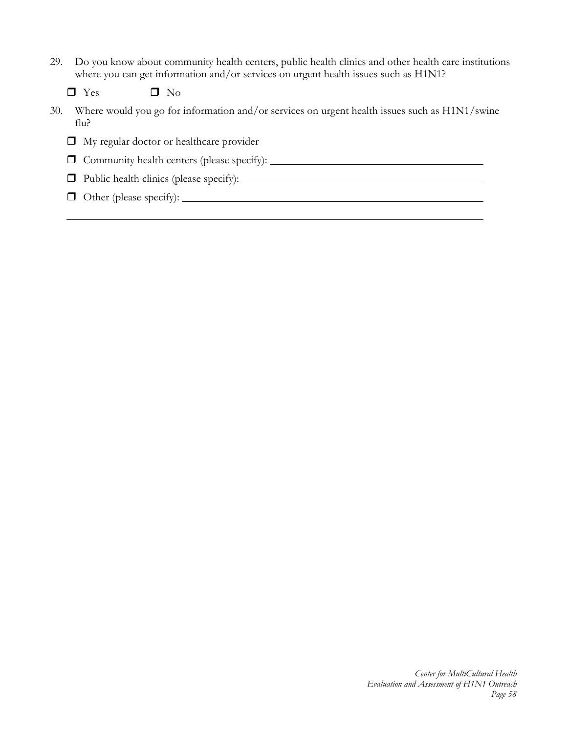29. Do you know about community health centers, public health clinics and other health care institutions where you can get information and/or services on urgent health issues such as H1N1?

 $\Box$  Yes  $\Box$  No

30. Where would you go for information and/or services on urgent health issues such as H1N1/swine flu?

My regular doctor or healthcare provider

Community health centers (please specify):

Public health clinics (please specify):

Other (please specify):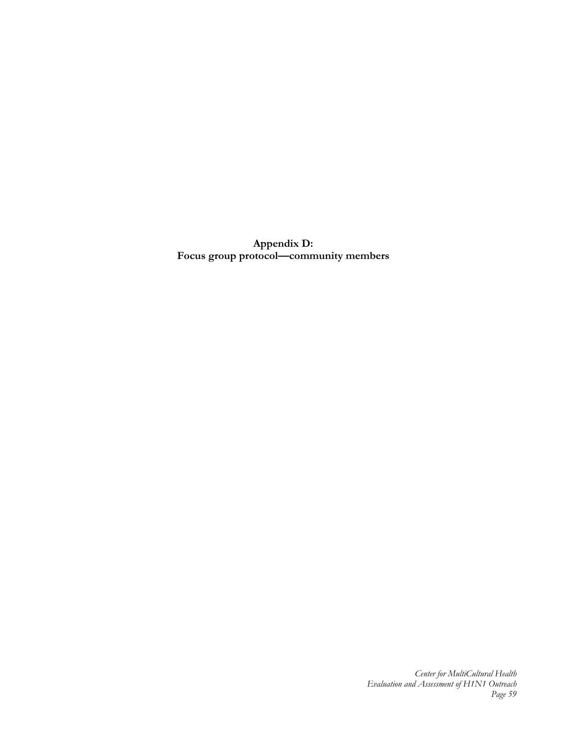**Appendix D: Focus group protocol—community members**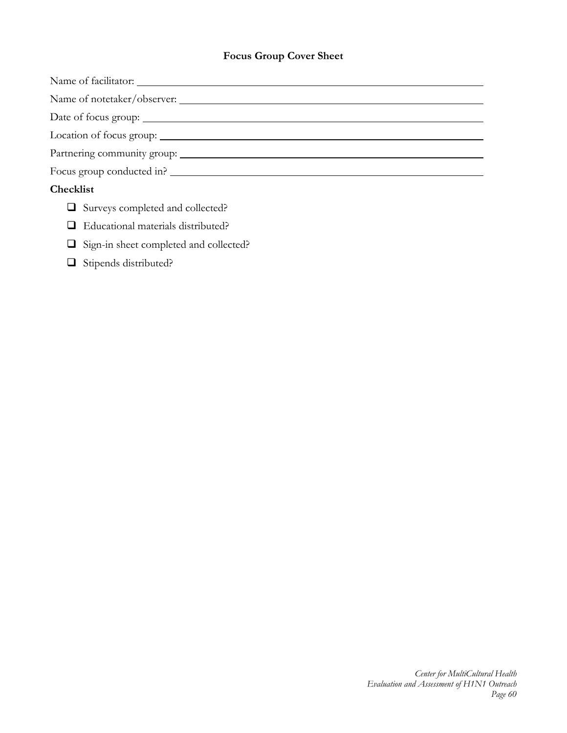# **Focus Group Cover Sheet**

Name of facilitator:

Name of notetaker/observer:

Date of focus group:

Location of focus group:

Partnering community group:

Focus group conducted in?

## **Checklist**

- Surveys completed and collected?
- Educational materials distributed?
- Sign-in sheet completed and collected?
- Stipends distributed?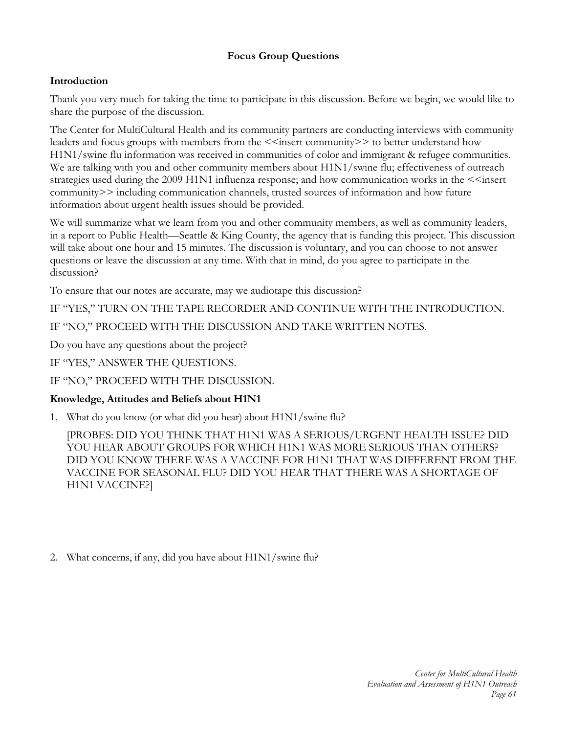# **Focus Group Questions**

# **Introduction**

Thank you very much for taking the time to participate in this discussion. Before we begin, we would like to share the purpose of the discussion.

The Center for MultiCultural Health and its community partners are conducting interviews with community leaders and focus groups with members from the <<insert community>> to better understand how H1N1/swine flu information was received in communities of color and immigrant & refugee communities. We are talking with you and other community members about H1N1/swine flu; effectiveness of outreach strategies used during the 2009 H1N1 influenza response; and how communication works in the  $\le$ insert community>> including communication channels, trusted sources of information and how future information about urgent health issues should be provided.

We will summarize what we learn from you and other community members, as well as community leaders, in a report to Public Health—Seattle & King County, the agency that is funding this project. This discussion will take about one hour and 15 minutes. The discussion is voluntary, and you can choose to not answer questions or leave the discussion at any time. With that in mind, do you agree to participate in the discussion?

To ensure that our notes are accurate, may we audiotape this discussion?

IF "YES," TURN ON THE TAPE RECORDER AND CONTINUE WITH THE INTRODUCTION.

IF "NO," PROCEED WITH THE DISCUSSION AND TAKE WRITTEN NOTES.

Do you have any questions about the project?

IF "YES," ANSWER THE QUESTIONS.

IF "NO," PROCEED WITH THE DISCUSSION.

# **Knowledge, Attitudes and Beliefs about H1N1**

1. What do you know (or what did you hear) about H1N1/swine flu?

[PROBES: DID YOU THINK THAT H1N1 WAS A SERIOUS/URGENT HEALTH ISSUE? DID YOU HEAR ABOUT GROUPS FOR WHICH H1N1 WAS MORE SERIOUS THAN OTHERS? DID YOU KNOW THERE WAS A VACCINE FOR H1N1 THAT WAS DIFFERENT FROM THE VACCINE FOR SEASONAL FLU? DID YOU HEAR THAT THERE WAS A SHORTAGE OF H1N1 VACCINE?]

2. What concerns, if any, did you have about H1N1/swine flu?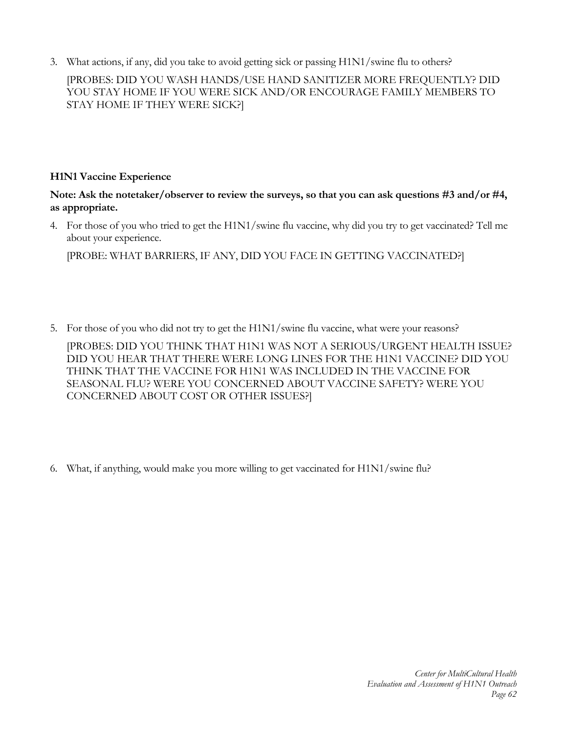3. What actions, if any, did you take to avoid getting sick or passing H1N1/swine flu to others?

[PROBES: DID YOU WASH HANDS/USE HAND SANITIZER MORE FREQUENTLY? DID YOU STAY HOME IF YOU WERE SICK AND/OR ENCOURAGE FAMILY MEMBERS TO STAY HOME IF THEY WERE SICK?]

## **H1N1 Vaccine Experience**

**Note: Ask the notetaker/observer to review the surveys, so that you can ask questions #3 and/or #4, as appropriate.** 

4. For those of you who tried to get the H1N1/swine flu vaccine, why did you try to get vaccinated? Tell me about your experience.

[PROBE: WHAT BARRIERS, IF ANY, DID YOU FACE IN GETTING VACCINATED?]

5. For those of you who did not try to get the H1N1/swine flu vaccine, what were your reasons?

[PROBES: DID YOU THINK THAT H1N1 WAS NOT A SERIOUS/URGENT HEALTH ISSUE? DID YOU HEAR THAT THERE WERE LONG LINES FOR THE H1N1 VACCINE? DID YOU THINK THAT THE VACCINE FOR H1N1 WAS INCLUDED IN THE VACCINE FOR SEASONAL FLU? WERE YOU CONCERNED ABOUT VACCINE SAFETY? WERE YOU CONCERNED ABOUT COST OR OTHER ISSUES?]

6. What, if anything, would make you more willing to get vaccinated for H1N1/swine flu?